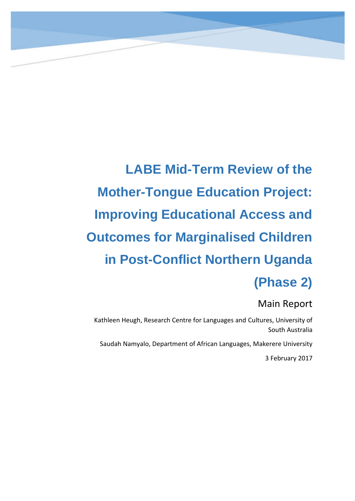<span id="page-0-0"></span>**LABE Mid-Term Review of the Mother-Tongue Education Project: Improving Educational Access and Outcomes for Marginalised Children in Post-Conflict Northern Uganda (Phase 2)**

# Main Report

Kathleen Heugh, Research Centre for Languages and Cultures, University of South Australia

Saudah Namyalo, Department of African Languages, Makerere University

3 February 2017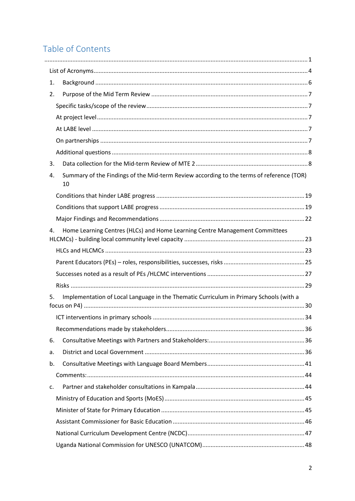# Table of Contents

| 1. |                                                                                                |  |
|----|------------------------------------------------------------------------------------------------|--|
| 2. |                                                                                                |  |
|    |                                                                                                |  |
|    |                                                                                                |  |
|    |                                                                                                |  |
|    |                                                                                                |  |
|    |                                                                                                |  |
| 3. |                                                                                                |  |
| 4. | Summary of the Findings of the Mid-term Review according to the terms of reference (TOR)<br>10 |  |
|    |                                                                                                |  |
|    |                                                                                                |  |
|    |                                                                                                |  |
| 4. | Home Learning Centres (HLCs) and Home Learning Centre Management Committees                    |  |
|    |                                                                                                |  |
|    |                                                                                                |  |
|    |                                                                                                |  |
|    |                                                                                                |  |
| 5. | Implementation of Local Language in the Thematic Curriculum in Primary Schools (with a         |  |
|    |                                                                                                |  |
|    |                                                                                                |  |
| 6. |                                                                                                |  |
| a. |                                                                                                |  |
| b. |                                                                                                |  |
|    |                                                                                                |  |
| c. |                                                                                                |  |
|    |                                                                                                |  |
|    |                                                                                                |  |
|    |                                                                                                |  |
|    |                                                                                                |  |
|    |                                                                                                |  |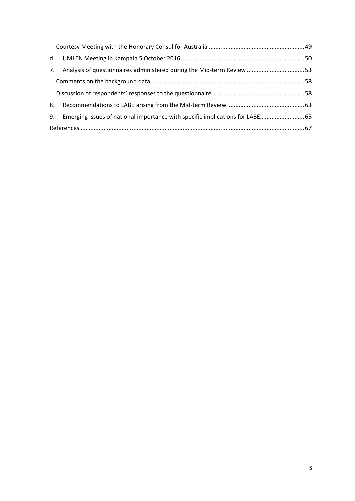| 7. | Analysis of questionnaires administered during the Mid-term Review  53        |  |  |
|----|-------------------------------------------------------------------------------|--|--|
|    |                                                                               |  |  |
|    |                                                                               |  |  |
| 8. |                                                                               |  |  |
| 9. | Emerging issues of national importance with specific implications for LABE 65 |  |  |
|    |                                                                               |  |  |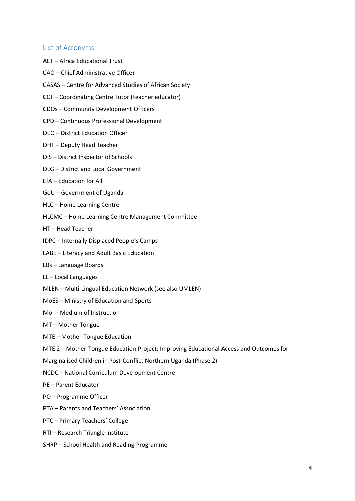### <span id="page-3-0"></span>List of Acronyms

- AET Africa Educational Trust
- CAO Chief Administrative Officer
- CASAS Centre for Advanced Studies of African Society
- CCT Coordinating Centre Tutor (teacher educator)
- CDOs Community Development Officers
- CPD Continuous Professional Development
- DEO District Education Officer
- DHT Deputy Head Teacher
- DIS District Inspector of Schools
- DLG District and Local Government
- EfA Education for All
- GoU Government of Uganda
- HLC Home Learning Centre
- HLCMC Home Learning Centre Management Committee
- HT Head Teacher
- IDPC Internally Displaced People's Camps
- LABE Literacy and Adult Basic Education
- LBs Language Boards
- LL Local Languages
- MLEN Multi-Lingual Education Network (see also UMLEN)
- MoES Ministry of Education and Sports
- MoI Medium of Instruction
- MT Mother Tongue
- MTE Mother-Tongue Education
- MTE 2 Mother-Tongue Education Project: Improving Educational Access and Outcomes for
- Marginalised Children in Post-Conflict Northern Uganda (Phase 2)
- NCDC National Curriculum Development Centre
- PE Parent Educator
- PO Programme Officer
- PTA Parents and Teachers' Association
- PTC Primary Teachers' College
- RTI Research Triangle Institute
- SHRP School Health and Reading Programme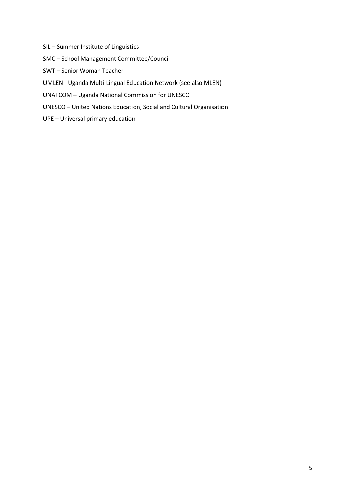- SIL Summer Institute of Linguistics
- SMC School Management Committee/Council
- SWT Senior Woman Teacher
- UMLEN Uganda Multi-Lingual Education Network (see also MLEN)
- UNATCOM Uganda National Commission for UNESCO
- UNESCO United Nations Education, Social and Cultural Organisation
- UPE Universal primary education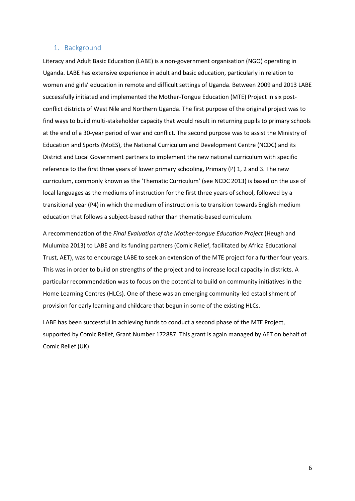#### <span id="page-5-0"></span>1. Background

Literacy and Adult Basic Education (LABE) is a non-government organisation (NGO) operating in Uganda. LABE has extensive experience in adult and basic education, particularly in relation to women and girls' education in remote and difficult settings of Uganda. Between 2009 and 2013 LABE successfully initiated and implemented the Mother-Tongue Education (MTE) Project in six postconflict districts of West Nile and Northern Uganda. The first purpose of the original project was to find ways to build multi-stakeholder capacity that would result in returning pupils to primary schools at the end of a 30-year period of war and conflict. The second purpose was to assist the Ministry of Education and Sports (MoES), the National Curriculum and Development Centre (NCDC) and its District and Local Government partners to implement the new national curriculum with specific reference to the first three years of lower primary schooling, Primary (P) 1, 2 and 3. The new curriculum, commonly known as the 'Thematic Curriculum' (see NCDC 2013) is based on the use of local languages as the mediums of instruction for the first three years of school, followed by a transitional year (P4) in which the medium of instruction is to transition towards English medium education that follows a subject-based rather than thematic-based curriculum.

A recommendation of the *Final Evaluation of the Mother-tongue Education Project* (Heugh and Mulumba 2013) to LABE and its funding partners (Comic Relief, facilitated by Africa Educational Trust, AET), was to encourage LABE to seek an extension of the MTE project for a further four years. This was in order to build on strengths of the project and to increase local capacity in districts. A particular recommendation was to focus on the potential to build on community initiatives in the Home Learning Centres (HLCs). One of these was an emerging community-led establishment of provision for early learning and childcare that begun in some of the existing HLCs.

LABE has been successful in achieving funds to conduct a second phase of the MTE Project, supported by Comic Relief, Grant Number 172887. This grant is again managed by AET on behalf of Comic Relief (UK).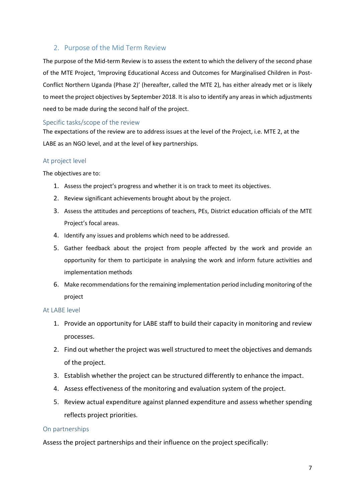# <span id="page-6-0"></span>2. Purpose of the Mid Term Review

The purpose of the Mid-term Review is to assess the extent to which the delivery of the second phase of the MTE Project, 'Improving Educational Access and Outcomes for Marginalised Children in Post-Conflict Northern Uganda (Phase 2)' (hereafter, called the MTE 2), has either already met or is likely to meet the project objectives by September 2018. It is also to identify any areas in which adjustments need to be made during the second half of the project.

## <span id="page-6-1"></span>Specific tasks/scope of the review

The expectations of the review are to address issues at the level of the Project, i.e. MTE 2, at the LABE as an NGO level, and at the level of key partnerships.

## <span id="page-6-2"></span>At project level

The objectives are to:

- 1. Assess the project's progress and whether it is on track to meet its objectives.
- 2. Review significant achievements brought about by the project.
- 3. Assess the attitudes and perceptions of teachers, PEs, District education officials of the MTE Project's focal areas.
- 4. Identify any issues and problems which need to be addressed.
- 5. Gather feedback about the project from people affected by the work and provide an opportunity for them to participate in analysing the work and inform future activities and implementation methods
- 6. Make recommendations for the remaining implementation period including monitoring of the project

#### <span id="page-6-3"></span>At LABE level

- 1. Provide an opportunity for LABE staff to build their capacity in monitoring and review processes.
- 2. Find out whether the project was well structured to meet the objectives and demands of the project.
- 3. Establish whether the project can be structured differently to enhance the impact.
- 4. Assess effectiveness of the monitoring and evaluation system of the project.
- 5. Review actual expenditure against planned expenditure and assess whether spending reflects project priorities.

#### <span id="page-6-4"></span>On partnerships

Assess the project partnerships and their influence on the project specifically: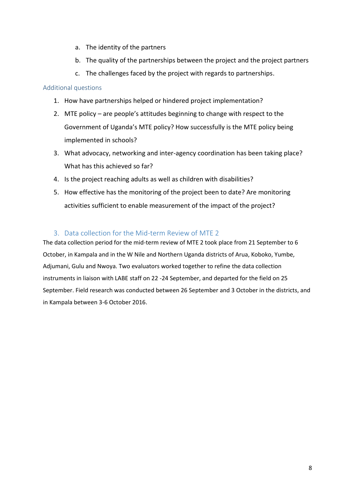- a. The identity of the partners
- b. The quality of the partnerships between the project and the project partners
- c. The challenges faced by the project with regards to partnerships.

## <span id="page-7-0"></span>Additional questions

- 1. How have partnerships helped or hindered project implementation?
- 2. MTE policy are people's attitudes beginning to change with respect to the Government of Uganda's MTE policy? How successfully is the MTE policy being implemented in schools?
- 3. What advocacy, networking and inter-agency coordination has been taking place? What has this achieved so far?
- 4. Is the project reaching adults as well as children with disabilities?
- 5. How effective has the monitoring of the project been to date? Are monitoring activities sufficient to enable measurement of the impact of the project?

# 3. Data collection for the Mid-term Review of MTE 2

<span id="page-7-1"></span>The data collection period for the mid-term review of MTE 2 took place from 21 September to 6 October, in Kampala and in the W Nile and Northern Uganda districts of Arua, Koboko, Yumbe, Adjumani, Gulu and Nwoya. Two evaluators worked together to refine the data collection instruments in liaison with LABE staff on 22 -24 September, and departed for the field on 25 September. Field research was conducted between 26 September and 3 October in the districts, and in Kampala between 3-6 October 2016.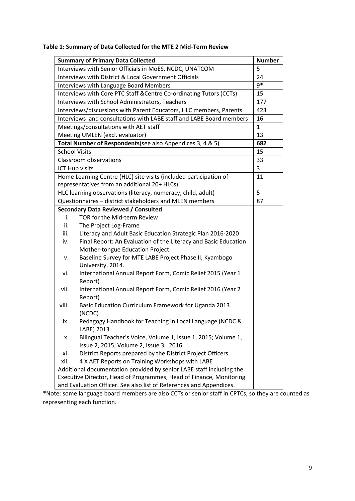# **Table 1: Summary of Data Collected for the MTE 2 Mid-Term Review**

|                                                                           | <b>Summary of Primary Data Collected</b>                             | <b>Number</b> |  |  |
|---------------------------------------------------------------------------|----------------------------------------------------------------------|---------------|--|--|
| Interviews with Senior Officials in MoES, NCDC, UNATCOM<br>5              |                                                                      |               |  |  |
| Interviews with District & Local Government Officials<br>24               |                                                                      |               |  |  |
| 9*<br>Interviews with Language Board Members                              |                                                                      |               |  |  |
| Interviews with Core PTC Staff & Centre Co-ordinating Tutors (CCTs)<br>15 |                                                                      |               |  |  |
| 177<br>Interviews with School Administrators, Teachers                    |                                                                      |               |  |  |
| Interviews/discussions with Parent Educators, HLC members, Parents<br>423 |                                                                      |               |  |  |
|                                                                           | Interviews and consultations with LABE staff and LABE Board members  | 16            |  |  |
|                                                                           | Meetings/consultations with AET staff                                | $\mathbf{1}$  |  |  |
|                                                                           | Meeting UMLEN (excl. evaluator)                                      | 13            |  |  |
|                                                                           | Total Number of Respondents (see also Appendices 3, 4 & 5)           | 682           |  |  |
|                                                                           | <b>School Visits</b>                                                 | 15            |  |  |
|                                                                           | Classroom observations                                               | 33            |  |  |
|                                                                           | <b>ICT Hub visits</b>                                                | 3             |  |  |
|                                                                           | Home Learning Centre (HLC) site visits (included participation of    | 11            |  |  |
|                                                                           | representatives from an additional 20+ HLCs)                         |               |  |  |
|                                                                           | HLC learning observations (literacy, numeracy, child, adult)         | 5             |  |  |
|                                                                           | Questionnaires - district stakeholders and MLEN members              | 87            |  |  |
|                                                                           | <b>Secondary Data Reviewed / Consulted</b>                           |               |  |  |
| i.                                                                        | TOR for the Mid-term Review                                          |               |  |  |
| ii.                                                                       | The Project Log-Frame                                                |               |  |  |
| iii.                                                                      | Literacy and Adult Basic Education Strategic Plan 2016-2020          |               |  |  |
| iv.                                                                       | Final Report: An Evaluation of the Literacy and Basic Education      |               |  |  |
|                                                                           | Mother-tongue Education Project                                      |               |  |  |
| ν.                                                                        | Baseline Survey for MTE LABE Project Phase II, Kyambogo              |               |  |  |
|                                                                           | University, 2014.                                                    |               |  |  |
| vi.                                                                       | International Annual Report Form, Comic Relief 2015 (Year 1          |               |  |  |
|                                                                           | Report)                                                              |               |  |  |
| vii.                                                                      | International Annual Report Form, Comic Relief 2016 (Year 2          |               |  |  |
|                                                                           | Report)                                                              |               |  |  |
| viii.                                                                     | Basic Education Curriculum Framework for Uganda 2013                 |               |  |  |
|                                                                           | (NCDC)                                                               |               |  |  |
| ix.                                                                       | Pedagogy Handbook for Teaching in Local Language (NCDC &             |               |  |  |
|                                                                           | LABE) 2013                                                           |               |  |  |
| х.                                                                        | Bilingual Teacher's Voice, Volume 1, Issue 1, 2015; Volume 1,        |               |  |  |
|                                                                           | Issue 2, 2015; Volume 2, Issue 3, , 2016                             |               |  |  |
|                                                                           | District Reports prepared by the District Project Officers<br>xi.    |               |  |  |
|                                                                           | 4 X AET Reports on Training Workshops with LABE<br>xii.              |               |  |  |
|                                                                           | Additional documentation provided by senior LABE staff including the |               |  |  |
|                                                                           | Executive Director, Head of Programmes, Head of Finance, Monitoring  |               |  |  |
|                                                                           | and Evaluation Officer. See also list of References and Appendices.  |               |  |  |

**\***Note: some language board members are also CCTs or senior staff in CPTCs, so they are counted as representing each function.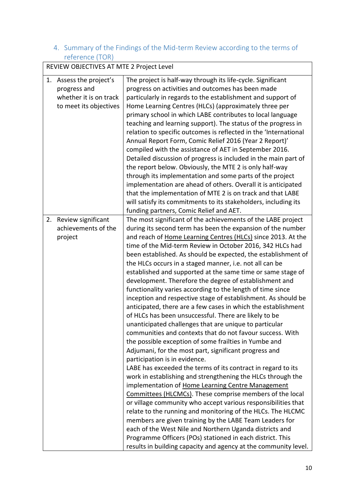# <span id="page-9-0"></span>4. Summary of the Findings of the Mid-term Review according to the terms of reference (TOR)

|    | REVIEW OBJECTIVES AT MTE 2 Project Level                                                 |                                                                                                                                                                                                                                                                                                                                                                                                                                                                                                                                                                                                                                                                                                                                                                                                                                                                                                                                                                                                                                                                                                                                                                                                                                                                                                                                                                                                                                                                                                                                                                                                                                                                                        |  |
|----|------------------------------------------------------------------------------------------|----------------------------------------------------------------------------------------------------------------------------------------------------------------------------------------------------------------------------------------------------------------------------------------------------------------------------------------------------------------------------------------------------------------------------------------------------------------------------------------------------------------------------------------------------------------------------------------------------------------------------------------------------------------------------------------------------------------------------------------------------------------------------------------------------------------------------------------------------------------------------------------------------------------------------------------------------------------------------------------------------------------------------------------------------------------------------------------------------------------------------------------------------------------------------------------------------------------------------------------------------------------------------------------------------------------------------------------------------------------------------------------------------------------------------------------------------------------------------------------------------------------------------------------------------------------------------------------------------------------------------------------------------------------------------------------|--|
| 1. | Assess the project's<br>progress and<br>whether it is on track<br>to meet its objectives | The project is half-way through its life-cycle. Significant<br>progress on activities and outcomes has been made<br>particularly in regards to the establishment and support of<br>Home Learning Centres (HLCs) (approximately three per<br>primary school in which LABE contributes to local language<br>teaching and learning support). The status of the progress in<br>relation to specific outcomes is reflected in the 'International<br>Annual Report Form, Comic Relief 2016 (Year 2 Report)'<br>compiled with the assistance of AET in September 2016.<br>Detailed discussion of progress is included in the main part of<br>the report below. Obviously, the MTE 2 is only half-way<br>through its implementation and some parts of the project<br>implementation are ahead of others. Overall it is anticipated<br>that the implementation of MTE 2 is on track and that LABE<br>will satisfy its commitments to its stakeholders, including its<br>funding partners, Comic Relief and AET.                                                                                                                                                                                                                                                                                                                                                                                                                                                                                                                                                                                                                                                                                 |  |
| 2. | Review significant<br>achievements of the<br>project                                     | The most significant of the achievements of the LABE project<br>during its second term has been the expansion of the number<br>and reach of Home Learning Centres (HLCs) since 2013. At the<br>time of the Mid-term Review in October 2016, 342 HLCs had<br>been established. As should be expected, the establishment of<br>the HLCs occurs in a staged manner, i.e. not all can be<br>established and supported at the same time or same stage of<br>development. Therefore the degree of establishment and<br>functionality varies according to the length of time since<br>inception and respective stage of establishment. As should be<br>anticipated, there are a few cases in which the establishment<br>of HLCs has been unsuccessful. There are likely to be<br>unanticipated challenges that are unique to particular<br>communities and contexts that do not favour success. With<br>the possible exception of some frailties in Yumbe and<br>Adjumani, for the most part, significant progress and<br>participation is in evidence.<br>LABE has exceeded the terms of its contract in regard to its<br>work in establishing and strengthening the HLCs through the<br>implementation of Home Learning Centre Management<br>Committees (HLCMCs). These comprise members of the local<br>or village community who accept various responsibilities that<br>relate to the running and monitoring of the HLCs. The HLCMC<br>members are given training by the LABE Team Leaders for<br>each of the West Nile and Northern Uganda districts and<br>Programme Officers (POs) stationed in each district. This<br>results in building capacity and agency at the community level. |  |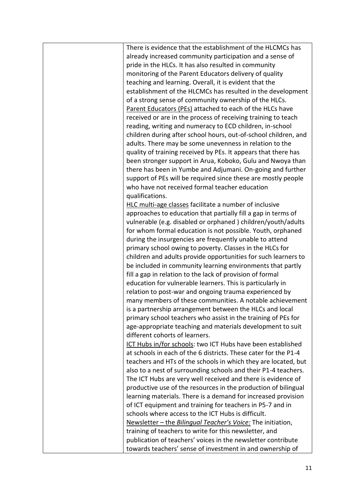There is evidence that the establishment of the HLCMCs has already increased community participation and a sense of pride in the HLCs. It has also resulted in community monitoring of the Parent Educators delivery of quality teaching and learning. Overall, it is evident that the establishment of the HLCMCs has resulted in the development of a strong sense of community ownership of the HLCs. Parent Educators (PEs) attached to each of the HLCs have received or are in the process of receiving training to teach reading, writing and numeracy to ECD children, in-school children during after school hours, out-of-school children, and adults. There may be some unevenness in relation to the quality of training received by PEs. It appears that there has been stronger support in Arua, Koboko, Gulu and Nwoya than there has been in Yumbe and Adjumani. On-going and further support of PEs will be required since these are mostly people who have not received formal teacher education qualifications. HLC multi-age classes facilitate a number of inclusive approaches to education that partially fill a gap in terms of vulnerable (e.g. disabled or orphaned ) children/youth/adults for whom formal education is not possible. Youth, orphaned during the insurgencies are frequently unable to attend primary school owing to poverty. Classes in the HLCs for children and adults provide opportunities for such learners to be included in community learning environments that partly fill a gap in relation to the lack of provision of formal education for vulnerable learners. This is particularly in relation to post-war and ongoing trauma experienced by many members of these communities. A notable achievement is a partnership arrangement between the HLCs and local primary school teachers who assist in the training of PEs for age-appropriate teaching and materials development to suit different cohorts of learners. ICT Hubs in/for schools: two ICT Hubs have been established at schools in each of the 6 districts. These cater for the P1-4 teachers and HTs of the schools in which they are located, but also to a nest of surrounding schools and their P1-4 teachers. The ICT Hubs are very well received and there is evidence of productive use of the resources in the production of bilingual learning materials. There is a demand for increased provision of ICT equipment and training for teachers in P5-7 and in schools where access to the ICT Hubs is difficult. Newsletter – the *Bilingual Teacher's Voice:* The initiation, training of teachers to write for this newsletter, and publication of teachers' voices in the newsletter contribute towards teachers' sense of investment in and ownership of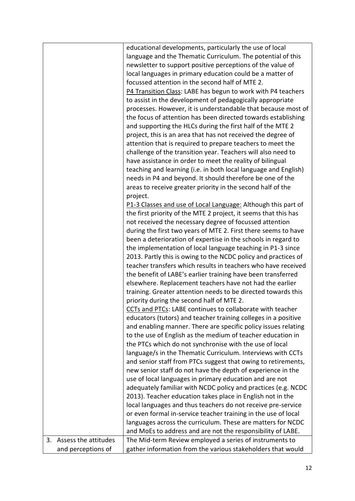|    |                      | educational developments, particularly the use of local         |
|----|----------------------|-----------------------------------------------------------------|
|    |                      | language and the Thematic Curriculum. The potential of this     |
|    |                      | newsletter to support positive perceptions of the value of      |
|    |                      | local languages in primary education could be a matter of       |
|    |                      | focussed attention in the second half of MTE 2.                 |
|    |                      | P4 Transition Class: LABE has begun to work with P4 teachers    |
|    |                      | to assist in the development of pedagogically appropriate       |
|    |                      | processes. However, it is understandable that because most of   |
|    |                      | the focus of attention has been directed towards establishing   |
|    |                      | and supporting the HLCs during the first half of the MTE 2      |
|    |                      | project, this is an area that has not received the degree of    |
|    |                      | attention that is required to prepare teachers to meet the      |
|    |                      | challenge of the transition year. Teachers will also need to    |
|    |                      | have assistance in order to meet the reality of bilingual       |
|    |                      | teaching and learning (i.e. in both local language and English) |
|    |                      | needs in P4 and beyond. It should therefore be one of the       |
|    |                      | areas to receive greater priority in the second half of the     |
|    |                      | project.                                                        |
|    |                      | P1-3 Classes and use of Local Language: Although this part of   |
|    |                      | the first priority of the MTE 2 project, it seems that this has |
|    |                      | not received the necessary degree of focussed attention         |
|    |                      | during the first two years of MTE 2. First there seems to have  |
|    |                      | been a deterioration of expertise in the schools in regard to   |
|    |                      | the implementation of local language teaching in P1-3 since     |
|    |                      | 2013. Partly this is owing to the NCDC policy and practices of  |
|    |                      | teacher transfers which results in teachers who have received   |
|    |                      | the benefit of LABE's earlier training have been transferred    |
|    |                      | elsewhere. Replacement teachers have not had the earlier        |
|    |                      | training. Greater attention needs to be directed towards this   |
|    |                      | priority during the second half of MTE 2.                       |
|    |                      | CCTs and PTCs: LABE continues to collaborate with teacher       |
|    |                      | educators (tutors) and teacher training colleges in a positive  |
|    |                      | and enabling manner. There are specific policy issues relating  |
|    |                      | to the use of English as the medium of teacher education in     |
|    |                      | the PTCs which do not synchronise with the use of local         |
|    |                      | language/s in the Thematic Curriculum. Interviews with CCTs     |
|    |                      | and senior staff from PTCs suggest that owing to retirements,   |
|    |                      | new senior staff do not have the depth of experience in the     |
|    |                      | use of local languages in primary education and are not         |
|    |                      | adequately familiar with NCDC policy and practices (e.g. NCDC   |
|    |                      | 2013). Teacher education takes place in English not in the      |
|    |                      | local languages and thus teachers do not receive pre-service    |
|    |                      | or even formal in-service teacher training in the use of local  |
|    |                      | languages across the curriculum. These are matters for NCDC     |
|    |                      | and MoEs to address and are not the responsibility of LABE.     |
| 3. | Assess the attitudes | The Mid-term Review employed a series of instruments to         |
|    | and perceptions of   | gather information from the various stakeholders that would     |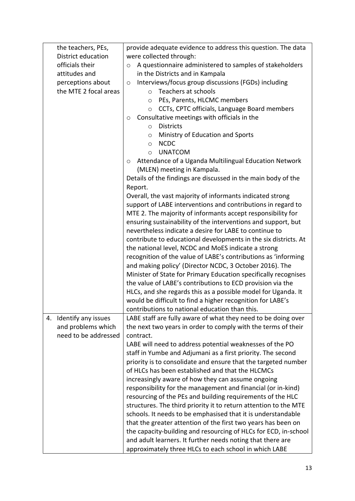| the teachers, PEs,        | provide adequate evidence to address this question. The data       |
|---------------------------|--------------------------------------------------------------------|
| District education        | were collected through:                                            |
| officials their           | A questionnaire administered to samples of stakeholders<br>$\circ$ |
| attitudes and             | in the Districts and in Kampala                                    |
| perceptions about         | Interviews/focus group discussions (FGDs) including<br>$\circ$     |
| the MTE 2 focal areas     | Teachers at schools<br>$\circ$                                     |
|                           | PEs, Parents, HLCMC members<br>$\circ$                             |
|                           | CCTs, CPTC officials, Language Board members<br>$\circ$            |
|                           | Consultative meetings with officials in the<br>O                   |
|                           | <b>Districts</b><br>$\circ$                                        |
|                           | Ministry of Education and Sports<br>$\circ$                        |
|                           | <b>NCDC</b><br>$\circ$                                             |
|                           | <b>UNATCOM</b><br>$\circ$                                          |
|                           | Attendance of a Uganda Multilingual Education Network<br>O         |
|                           | (MLEN) meeting in Kampala.                                         |
|                           | Details of the findings are discussed in the main body of the      |
|                           | Report.                                                            |
|                           | Overall, the vast majority of informants indicated strong          |
|                           | support of LABE interventions and contributions in regard to       |
|                           | MTE 2. The majority of informants accept responsibility for        |
|                           | ensuring sustainability of the interventions and support, but      |
|                           | nevertheless indicate a desire for LABE to continue to             |
|                           | contribute to educational developments in the six districts. At    |
|                           | the national level, NCDC and MoES indicate a strong                |
|                           | recognition of the value of LABE's contributions as 'informing     |
|                           | and making policy' (Director NCDC, 3 October 2016). The            |
|                           | Minister of State for Primary Education specifically recognises    |
|                           | the value of LABE's contributions to ECD provision via the         |
|                           | HLCs, and she regards this as a possible model for Uganda. It      |
|                           | would be difficult to find a higher recognition for LABE's         |
|                           | contributions to national education than this.                     |
| Identify any issues<br>4. | LABE staff are fully aware of what they need to be doing over      |
| and problems which        | the next two years in order to comply with the terms of their      |
| need to be addressed      | contract.                                                          |
|                           | LABE will need to address potential weaknesses of the PO           |
|                           | staff in Yumbe and Adjumani as a first priority. The second        |
|                           | priority is to consolidate and ensure that the targeted number     |
|                           | of HLCs has been established and that the HLCMCs                   |
|                           | increasingly aware of how they can assume ongoing                  |
|                           | responsibility for the management and financial (or in-kind)       |
|                           | resourcing of the PEs and building requirements of the HLC         |
|                           | structures. The third priority it to return attention to the MTE   |
|                           | schools. It needs to be emphasised that it is understandable       |
|                           | that the greater attention of the first two years has been on      |
|                           | the capacity-building and resourcing of HLCs for ECD, in-school    |
|                           | and adult learners. It further needs noting that there are         |
|                           | approximately three HLCs to each school in which LABE              |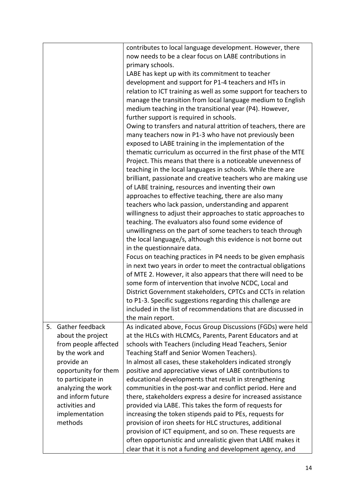|    |                      | contributes to local language development. However, there        |
|----|----------------------|------------------------------------------------------------------|
|    |                      | now needs to be a clear focus on LABE contributions in           |
|    |                      | primary schools.                                                 |
|    |                      | LABE has kept up with its commitment to teacher                  |
|    |                      | development and support for P1-4 teachers and HTs in             |
|    |                      | relation to ICT training as well as some support for teachers to |
|    |                      | manage the transition from local language medium to English      |
|    |                      | medium teaching in the transitional year (P4). However,          |
|    |                      | further support is required in schools.                          |
|    |                      | Owing to transfers and natural attrition of teachers, there are  |
|    |                      | many teachers now in P1-3 who have not previously been           |
|    |                      |                                                                  |
|    |                      | exposed to LABE training in the implementation of the            |
|    |                      | thematic curriculum as occurred in the first phase of the MTE    |
|    |                      | Project. This means that there is a noticeable unevenness of     |
|    |                      | teaching in the local languages in schools. While there are      |
|    |                      | brilliant, passionate and creative teachers who are making use   |
|    |                      | of LABE training, resources and inventing their own              |
|    |                      | approaches to effective teaching, there are also many            |
|    |                      | teachers who lack passion, understanding and apparent            |
|    |                      | willingness to adjust their approaches to static approaches to   |
|    |                      | teaching. The evaluators also found some evidence of             |
|    |                      | unwillingness on the part of some teachers to teach through      |
|    |                      | the local language/s, although this evidence is not borne out    |
|    |                      | in the questionnaire data.                                       |
|    |                      | Focus on teaching practices in P4 needs to be given emphasis     |
|    |                      | in next two years in order to meet the contractual obligations   |
|    |                      | of MTE 2. However, it also appears that there will need to be    |
|    |                      | some form of intervention that involve NCDC, Local and           |
|    |                      | District Government stakeholders, CPTCs and CCTs in relation     |
|    |                      | to P1-3. Specific suggestions regarding this challenge are       |
|    |                      | included in the list of recommendations that are discussed in    |
|    |                      | the main report.                                                 |
| 5. | Gather feedback      | As indicated above, Focus Group Discussions (FGDs) were held     |
|    | about the project    | at the HLCs with HLCMCs, Parents, Parent Educators and at        |
|    | from people affected | schools with Teachers (including Head Teachers, Senior           |
|    | by the work and      | Teaching Staff and Senior Women Teachers).                       |
|    | provide an           | In almost all cases, these stakeholders indicated strongly       |
|    | opportunity for them | positive and appreciative views of LABE contributions to         |
|    | to participate in    | educational developments that result in strengthening            |
|    | analyzing the work   | communities in the post-war and conflict period. Here and        |
|    | and inform future    | there, stakeholders express a desire for increased assistance    |
|    | activities and       | provided via LABE. This takes the form of requests for           |
|    | implementation       | increasing the token stipends paid to PEs, requests for          |
|    | methods              | provision of iron sheets for HLC structures, additional          |
|    |                      |                                                                  |
|    |                      | provision of ICT equipment, and so on. These requests are        |
|    |                      | often opportunistic and unrealistic given that LABE makes it     |
|    |                      | clear that it is not a funding and development agency, and       |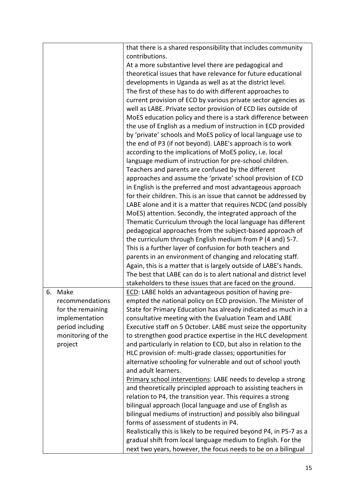|            |                   | that there is a shared responsibility that includes community       |
|------------|-------------------|---------------------------------------------------------------------|
|            |                   | contributions.                                                      |
|            |                   | At a more substantive level there are pedagogical and               |
|            |                   | theoretical issues that have relevance for future educational       |
|            |                   | developments in Uganda as well as at the district level.            |
|            |                   | The first of these has to do with different approaches to           |
|            |                   | current provision of ECD by various private sector agencies as      |
|            |                   | well as LABE. Private sector provision of ECD lies outside of       |
|            |                   | MoES education policy and there is a stark difference between       |
|            |                   | the use of English as a medium of instruction in ECD provided       |
|            |                   | by 'private' schools and MoES policy of local language use to       |
|            |                   | the end of P3 (if not beyond). LABE's approach is to work           |
|            |                   |                                                                     |
|            |                   | according to the implications of MoES policy, i.e. local            |
|            |                   | language medium of instruction for pre-school children.             |
|            |                   | Teachers and parents are confused by the different                  |
|            |                   | approaches and assume the 'private' school provision of ECD         |
|            |                   | in English is the preferred and most advantageous approach          |
|            |                   | for their children. This is an issue that cannot be addressed by    |
|            |                   | LABE alone and it is a matter that requires NCDC (and possibly      |
|            |                   | MoES) attention. Secondly, the integrated approach of the           |
|            |                   | Thematic Curriculum through the local language has different        |
|            |                   | pedagogical approaches from the subject-based approach of           |
|            |                   | the curriculum through English medium from P (4 and) 5-7.           |
|            |                   | This is a further layer of confusion for both teachers and          |
|            |                   | parents in an environment of changing and relocating staff.         |
|            |                   | Again, this is a matter that is largely outside of LABE's hands.    |
|            |                   | The best that LABE can do is to alert national and district level   |
|            |                   | stakeholders to these issues that are faced on the ground.          |
| 6.<br>Make |                   | ECD: LABE holds an advantageous position of having pre-             |
|            | recommendations   | empted the national policy on ECD provision. The Minister of        |
|            | for the remaining | State for Primary Education has already indicated as much in a      |
|            | implementation    | consultative meeting with the Evaluation Team and LABE              |
|            | period including  | Executive staff on 5 October. LABE must seize the opportunity       |
|            | monitoring of the | to strengthen good practice expertise in the HLC development        |
| project    |                   | and particularly in relation to ECD, but also in relation to the    |
|            |                   | HLC provision of: multi-grade classes; opportunities for            |
|            |                   | alternative schooling for vulnerable and out of school youth        |
|            |                   | and adult learners.                                                 |
|            |                   | Primary school interventions: LABE needs to develop a strong        |
|            |                   | and theoretically principled approach to assisting teachers in      |
|            |                   | relation to P4, the transition year. This requires a strong         |
|            |                   | bilingual approach (local language and use of English as            |
|            |                   | bilingual mediums of instruction) and possibly also bilingual       |
|            |                   | forms of assessment of students in P4.                              |
|            |                   | Realistically this is likely to be required beyond P4, in P5-7 as a |
|            |                   | gradual shift from local language medium to English. For the        |
|            |                   |                                                                     |
|            |                   | next two years, however, the focus needs to be on a bilingual       |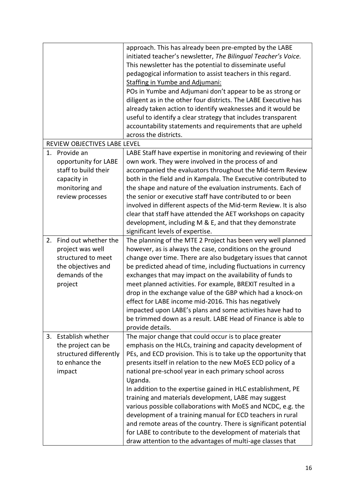|    |                                                                                                                   | approach. This has already been pre-empted by the LABE<br>initiated teacher's newsletter, The Bilingual Teacher's Voice.<br>This newsletter has the potential to disseminate useful<br>pedagogical information to assist teachers in this regard.<br><b>Staffing in Yumbe and Adjumani:</b><br>POs in Yumbe and Adjumani don't appear to be as strong or<br>diligent as in the other four districts. The LABE Executive has<br>already taken action to identify weaknesses and it would be<br>useful to identify a clear strategy that includes transparent<br>accountability statements and requirements that are upheld<br>across the districts.                                                                                                                               |
|----|-------------------------------------------------------------------------------------------------------------------|----------------------------------------------------------------------------------------------------------------------------------------------------------------------------------------------------------------------------------------------------------------------------------------------------------------------------------------------------------------------------------------------------------------------------------------------------------------------------------------------------------------------------------------------------------------------------------------------------------------------------------------------------------------------------------------------------------------------------------------------------------------------------------|
|    | REVIEW OBJECTIVES LABE LEVEL                                                                                      |                                                                                                                                                                                                                                                                                                                                                                                                                                                                                                                                                                                                                                                                                                                                                                                  |
| 1. | Provide an<br>opportunity for LABE<br>staff to build their<br>capacity in<br>monitoring and<br>review processes   | LABE Staff have expertise in monitoring and reviewing of their<br>own work. They were involved in the process of and<br>accompanied the evaluators throughout the Mid-term Review<br>both in the field and in Kampala. The Executive contributed to<br>the shape and nature of the evaluation instruments. Each of<br>the senior or executive staff have contributed to or been<br>involved in different aspects of the Mid-term Review. It is also<br>clear that staff have attended the AET workshops on capacity<br>development, including M & E, and that they demonstrate<br>significant levels of expertise.                                                                                                                                                               |
| 2. | Find out whether the<br>project was well<br>structured to meet<br>the objectives and<br>demands of the<br>project | The planning of the MTE 2 Project has been very well planned<br>however, as is always the case, conditions on the ground<br>change over time. There are also budgetary issues that cannot<br>be predicted ahead of time, including fluctuations in currency<br>exchanges that may impact on the availability of funds to<br>meet planned activities. For example, BREXIT resulted in a<br>drop in the exchange value of the GBP which had a knock-on<br>effect for LABE income mid-2016. This has negatively<br>impacted upon LABE's plans and some activities have had to<br>be trimmed down as a result. LABE Head of Finance is able to<br>provide details.                                                                                                                   |
| 3. | Establish whether<br>the project can be<br>structured differently<br>to enhance the<br>impact                     | The major change that could occur is to place greater<br>emphasis on the HLCs, training and capacity development of<br>PEs, and ECD provision. This is to take up the opportunity that<br>presents itself in relation to the new MoES ECD policy of a<br>national pre-school year in each primary school across<br>Uganda.<br>In addition to the expertise gained in HLC establishment, PE<br>training and materials development, LABE may suggest<br>various possible collaborations with MoES and NCDC, e.g. the<br>development of a training manual for ECD teachers in rural<br>and remote areas of the country. There is significant potential<br>for LABE to contribute to the development of materials that<br>draw attention to the advantages of multi-age classes that |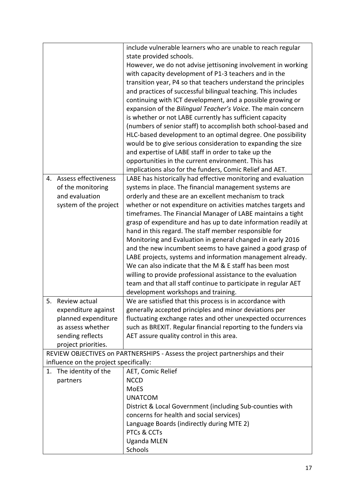|    |                                        | include vulnerable learners who are unable to reach regular                   |
|----|----------------------------------------|-------------------------------------------------------------------------------|
|    |                                        | state provided schools.                                                       |
|    |                                        | However, we do not advise jettisoning involvement in working                  |
|    |                                        | with capacity development of P1-3 teachers and in the                         |
|    |                                        | transition year, P4 so that teachers understand the principles                |
|    |                                        | and practices of successful bilingual teaching. This includes                 |
|    |                                        | continuing with ICT development, and a possible growing or                    |
|    |                                        | expansion of the Bilingual Teacher's Voice. The main concern                  |
|    |                                        | is whether or not LABE currently has sufficient capacity                      |
|    |                                        | (numbers of senior staff) to accomplish both school-based and                 |
|    |                                        | HLC-based development to an optimal degree. One possibility                   |
|    |                                        | would be to give serious consideration to expanding the size                  |
|    |                                        | and expertise of LABE staff in order to take up the                           |
|    |                                        | opportunities in the current environment. This has                            |
|    |                                        | implications also for the funders, Comic Relief and AET.                      |
| 4. | <b>Assess effectiveness</b>            | LABE has historically had effective monitoring and evaluation                 |
|    | of the monitoring                      | systems in place. The financial management systems are                        |
|    | and evaluation                         | orderly and these are an excellent mechanism to track                         |
|    | system of the project                  | whether or not expenditure on activities matches targets and                  |
|    |                                        | timeframes. The Financial Manager of LABE maintains a tight                   |
|    |                                        | grasp of expenditure and has up to date information readily at                |
|    |                                        | hand in this regard. The staff member responsible for                         |
|    |                                        |                                                                               |
|    |                                        | Monitoring and Evaluation in general changed in early 2016                    |
|    |                                        | and the new incumbent seems to have gained a good grasp of                    |
|    |                                        | LABE projects, systems and information management already.                    |
|    |                                        | We can also indicate that the M & E staff has been most                       |
|    |                                        | willing to provide professional assistance to the evaluation                  |
|    |                                        | team and that all staff continue to participate in regular AET                |
|    |                                        | development workshops and training.                                           |
|    | 5. Review actual                       | We are satisfied that this process is in accordance with                      |
|    | expenditure against                    | generally accepted principles and minor deviations per                        |
|    | planned expenditure                    | fluctuating exchange rates and other unexpected occurrences                   |
|    | as assess whether                      | such as BREXIT. Regular financial reporting to the funders via                |
|    | sending reflects                       | AET assure quality control in this area.                                      |
|    | project priorities.                    |                                                                               |
|    |                                        | REVIEW OBJECTIVES on PARTNERSHIPS - Assess the project partnerships and their |
|    | influence on the project specifically: |                                                                               |
| 1. | The identity of the                    | AET, Comic Relief                                                             |
|    | partners                               | <b>NCCD</b>                                                                   |
|    |                                        | MoES                                                                          |
|    |                                        | <b>UNATCOM</b>                                                                |
|    |                                        | District & Local Government (including Sub-counties with                      |
|    |                                        | concerns for health and social services)                                      |
|    |                                        | Language Boards (indirectly during MTE 2)                                     |
|    |                                        | PTCs & CCTs                                                                   |
|    |                                        | <b>Uganda MLEN</b>                                                            |
|    |                                        | Schools                                                                       |
|    |                                        |                                                                               |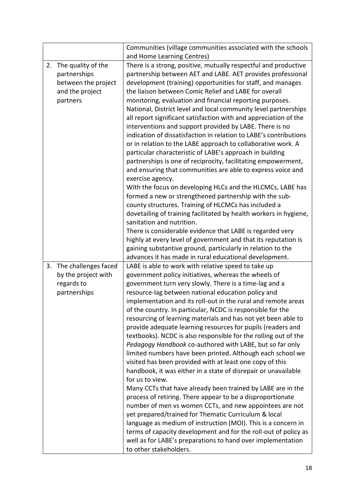|    |                         | Communities (village communities associated with the schools                   |
|----|-------------------------|--------------------------------------------------------------------------------|
|    |                         | and Home Learning Centres)                                                     |
| 2. | The quality of the      | There is a strong, positive, mutually respectful and productive                |
|    | partnerships            | partnership between AET and LABE. AET provides professional                    |
|    | between the project     | development (training) opportunities for staff, and manages                    |
|    | and the project         | the liaison between Comic Relief and LABE for overall                          |
|    | partners                | monitoring, evaluation and financial reporting purposes.                       |
|    |                         | National, District level and local community level partnerships                |
|    |                         | all report significant satisfaction with and appreciation of the               |
|    |                         | interventions and support provided by LABE. There is no                        |
|    |                         | indication of dissatisfaction in relation to LABE's contributions              |
|    |                         | or in relation to the LABE approach to collaborative work. A                   |
|    |                         | particular characteristic of LABE's approach in building                       |
|    |                         | partnerships is one of reciprocity, facilitating empowerment,                  |
|    |                         | and ensuring that communities are able to express voice and                    |
|    |                         | exercise agency.<br>With the focus on developing HLCs and the HLCMCs, LABE has |
|    |                         | formed a new or strengthened partnership with the sub-                         |
|    |                         | county structures. Training of HLCMCs has included a                           |
|    |                         | dovetailing of training facilitated by health workers in hygiene,              |
|    |                         | sanitation and nutrition.                                                      |
|    |                         | There is considerable evidence that LABE is regarded very                      |
|    |                         | highly at every level of government and that its reputation is                 |
|    |                         | gaining substantive ground, particularly in relation to the                    |
|    |                         | advances it has made in rural educational development.                         |
|    | 3. The challenges faced | LABE is able to work with relative speed to take up                            |
|    | by the project with     | government policy initiatives, whereas the wheels of                           |
|    | regards to              | government turn very slowly. There is a time-lag and a                         |
|    | partnerships            | resource-lag between national education policy and                             |
|    |                         | implementation and its roll-out in the rural and remote areas                  |
|    |                         | of the country. In particular, NCDC is responsible for the                     |
|    |                         | resourcing of learning materials and has not yet been able to                  |
|    |                         | provide adequate learning resources for pupils (readers and                    |
|    |                         | textbooks). NCDC is also responsible for the rolling out of the                |
|    |                         | Pedagogy Handbook co-authored with LABE, but so far only                       |
|    |                         | limited numbers have been printed. Although each school we                     |
|    |                         | visited has been provided with at least one copy of this                       |
|    |                         | handbook, it was either in a state of disrepair or unavailable                 |
|    |                         | for us to view.                                                                |
|    |                         | Many CCTs that have already been trained by LABE are in the                    |
|    |                         | process of retiring. There appear to be a disproportionate                     |
|    |                         | number of men vs women CCTs, and new appointees are not                        |
|    |                         | yet prepared/trained for Thematic Curriculum & local                           |
|    |                         | language as medium of instruction (MOI). This is a concern in                  |
|    |                         | terms of capacity development and for the roll-out of policy as                |
|    |                         | well as for LABE's preparations to hand over implementation                    |
|    |                         | to other stakeholders.                                                         |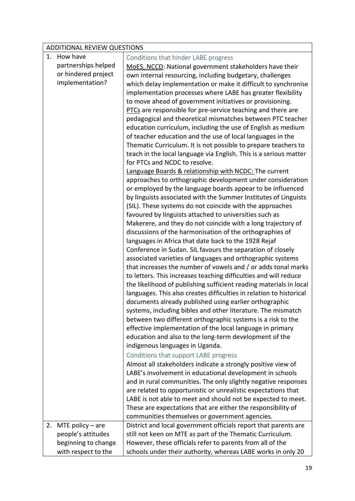<span id="page-18-0"></span>

|  | ADDITIONAL REVIEW QUESTIONS |                                                                                                                           |  |
|--|-----------------------------|---------------------------------------------------------------------------------------------------------------------------|--|
|  | 1. How have                 | Conditions that hinder LABE progress                                                                                      |  |
|  | partnerships helped         | MoES, NCCD: National government stakeholders have their                                                                   |  |
|  | or hindered project         | own internal resourcing, including budgetary, challenges                                                                  |  |
|  | implementation?             | which delay implementation or make it difficult to synchronise                                                            |  |
|  |                             | implementation processes where LABE has greater flexibility                                                               |  |
|  |                             | to move ahead of government initiatives or provisioning.                                                                  |  |
|  |                             | PTCs are responsible for pre-service teaching and there are<br>pedagogical and theoretical mismatches between PTC teacher |  |
|  |                             | education curriculum, including the use of English as medium                                                              |  |
|  |                             | of teacher education and the use of local languages in the                                                                |  |
|  |                             | Thematic Curriculum. It is not possible to prepare teachers to                                                            |  |
|  |                             | teach in the local language via English. This is a serious matter                                                         |  |
|  |                             | for PTCs and NCDC to resolve.                                                                                             |  |
|  |                             | Language Boards & relationship with NCDC: The current                                                                     |  |
|  |                             | approaches to orthographic development under consideration                                                                |  |
|  |                             | or employed by the language boards appear to be influenced                                                                |  |
|  |                             | by linguists associated with the Summer Institutes of Linguists                                                           |  |
|  |                             | (SIL). These systems do not coincide with the approaches                                                                  |  |
|  |                             | favoured by linguists attached to universities such as<br>Makerere, and they do not coincide with a long trajectory of    |  |
|  |                             | discussions of the harmonisation of the orthographies of                                                                  |  |
|  |                             | languages in Africa that date back to the 1928 Rejaf                                                                      |  |
|  |                             | Conference in Sudan. SIL favours the separation of closely                                                                |  |
|  |                             | associated varieties of languages and orthographic systems                                                                |  |
|  |                             | that increases the number of vowels and / or adds tonal marks                                                             |  |
|  |                             | to letters. This increases teaching difficulties and will reduce                                                          |  |
|  |                             | the likelihood of publishing sufficient reading materials in local                                                        |  |
|  |                             | languages. This also creates difficulties in relation to historical                                                       |  |
|  |                             | documents already published using earlier orthographic                                                                    |  |
|  |                             | systems, including bibles and other literature. The mismatch                                                              |  |
|  |                             | between two different orthographic systems is a risk to the                                                               |  |
|  |                             | effective implementation of the local language in primary<br>education and also to the long-term development of the       |  |
|  |                             | indigenous languages in Uganda.                                                                                           |  |
|  |                             | Conditions that support LABE progress                                                                                     |  |
|  |                             | Almost all stakeholders indicate a strongly positive view of                                                              |  |
|  |                             | LABE's involvement in educational development in schools                                                                  |  |
|  |                             | and in rural communities. The only slightly negative responses                                                            |  |
|  |                             | are related to opportunistic or unrealistic expectations that                                                             |  |
|  |                             | LABE is not able to meet and should not be expected to meet.                                                              |  |
|  |                             | These are expectations that are either the responsibility of                                                              |  |
|  |                             | communities themselves or government agencies.                                                                            |  |

<span id="page-18-1"></span>2. MTE policy – are people's attitudes beginning to change with respect to the District and local government officials report that parents are still not keen on MTE as part of the Thematic Curriculum. However, these officials refer to parents from all of the schools under their authority, whereas LABE works in only 20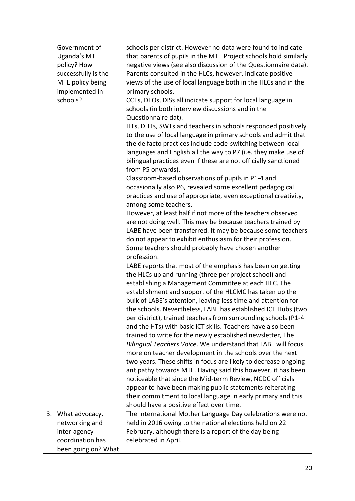|    | Government of<br><b>Uganda's MTE</b><br>policy? How<br>successfully is the<br>MTE policy being<br>implemented in<br>schools? | schools per district. However no data were found to indicate<br>that parents of pupils in the MTE Project schools hold similarly<br>negative views (see also discussion of the Questionnaire data).<br>Parents consulted in the HLCs, however, indicate positive<br>views of the use of local language both in the HLCs and in the<br>primary schools.<br>CCTs, DEOs, DISs all indicate support for local language in<br>schools (in both interview discussions and in the<br>Questionnaire dat).<br>HTs, DHTs, SWTs and teachers in schools responded positively<br>to the use of local language in primary schools and admit that<br>the de facto practices include code-switching between local<br>languages and English all the way to P7 (i.e. they make use of<br>bilingual practices even if these are not officially sanctioned<br>from P5 onwards).<br>Classroom-based observations of pupils in P1-4 and<br>occasionally also P6, revealed some excellent pedagogical<br>practices and use of appropriate, even exceptional creativity,<br>among some teachers.<br>However, at least half if not more of the teachers observed<br>are not doing well. This may be because teachers trained by<br>LABE have been transferred. It may be because some teachers<br>do not appear to exhibit enthusiasm for their profession.<br>Some teachers should probably have chosen another<br>profession.<br>LABE reports that most of the emphasis has been on getting<br>the HLCs up and running (three per project school) and<br>establishing a Management Committee at each HLC. The<br>establishment and support of the HLCMC has taken up the<br>bulk of LABE's attention, leaving less time and attention for<br>the schools. Nevertheless, LABE has established ICT Hubs (two<br>per district), trained teachers from surrounding schools (P1-4<br>and the HTs) with basic ICT skills. Teachers have also been<br>trained to write for the newly established newsletter, The<br>Bilingual Teachers Voice. We understand that LABE will focus<br>more on teacher development in the schools over the next<br>two years. These shifts in focus are likely to decrease ongoing<br>antipathy towards MTE. Having said this however, it has been<br>noticeable that since the Mid-term Review, NCDC officials<br>appear to have been making public statements reiterating<br>their commitment to local language in early primary and this |
|----|------------------------------------------------------------------------------------------------------------------------------|---------------------------------------------------------------------------------------------------------------------------------------------------------------------------------------------------------------------------------------------------------------------------------------------------------------------------------------------------------------------------------------------------------------------------------------------------------------------------------------------------------------------------------------------------------------------------------------------------------------------------------------------------------------------------------------------------------------------------------------------------------------------------------------------------------------------------------------------------------------------------------------------------------------------------------------------------------------------------------------------------------------------------------------------------------------------------------------------------------------------------------------------------------------------------------------------------------------------------------------------------------------------------------------------------------------------------------------------------------------------------------------------------------------------------------------------------------------------------------------------------------------------------------------------------------------------------------------------------------------------------------------------------------------------------------------------------------------------------------------------------------------------------------------------------------------------------------------------------------------------------------------------------------------------------------------------------------------------------------------------------------------------------------------------------------------------------------------------------------------------------------------------------------------------------------------------------------------------------------------------------------------------------------------------------------------------------------------------------------------------------------------------------------------------------------------------|
| 3. | What advocacy,                                                                                                               | should have a positive effect over time.<br>The International Mother Language Day celebrations were not                                                                                                                                                                                                                                                                                                                                                                                                                                                                                                                                                                                                                                                                                                                                                                                                                                                                                                                                                                                                                                                                                                                                                                                                                                                                                                                                                                                                                                                                                                                                                                                                                                                                                                                                                                                                                                                                                                                                                                                                                                                                                                                                                                                                                                                                                                                                     |
|    | networking and<br>inter-agency<br>coordination has<br>been going on? What                                                    | held in 2016 owing to the national elections held on 22<br>February, although there is a report of the day being<br>celebrated in April.                                                                                                                                                                                                                                                                                                                                                                                                                                                                                                                                                                                                                                                                                                                                                                                                                                                                                                                                                                                                                                                                                                                                                                                                                                                                                                                                                                                                                                                                                                                                                                                                                                                                                                                                                                                                                                                                                                                                                                                                                                                                                                                                                                                                                                                                                                    |
|    |                                                                                                                              |                                                                                                                                                                                                                                                                                                                                                                                                                                                                                                                                                                                                                                                                                                                                                                                                                                                                                                                                                                                                                                                                                                                                                                                                                                                                                                                                                                                                                                                                                                                                                                                                                                                                                                                                                                                                                                                                                                                                                                                                                                                                                                                                                                                                                                                                                                                                                                                                                                             |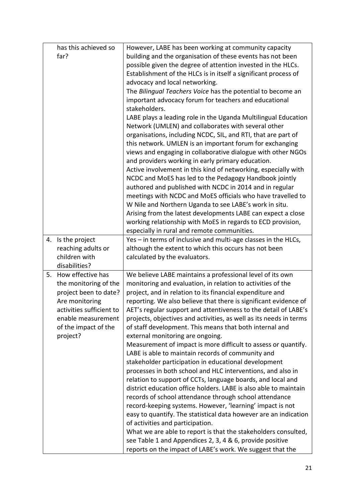|    | has this achieved so           | However, LABE has been working at community capacity               |
|----|--------------------------------|--------------------------------------------------------------------|
|    | far?                           | building and the organisation of these events has not been         |
|    |                                | possible given the degree of attention invested in the HLCs.       |
|    |                                | Establishment of the HLCs is in itself a significant process of    |
|    |                                | advocacy and local networking.                                     |
|    |                                | The Bilingual Teachers Voice has the potential to become an        |
|    |                                | important advocacy forum for teachers and educational              |
|    |                                | stakeholders.                                                      |
|    |                                | LABE plays a leading role in the Uganda Multilingual Education     |
|    |                                | Network (UMLEN) and collaborates with several other                |
|    |                                | organisations, including NCDC, SIL, and RTI, that are part of      |
|    |                                | this network. UMLEN is an important forum for exchanging           |
|    |                                | views and engaging in collaborative dialogue with other NGOs       |
|    |                                | and providers working in early primary education.                  |
|    |                                | Active involvement in this kind of networking, especially with     |
|    |                                | NCDC and MoES has led to the Pedagogy Handbook jointly             |
|    |                                | authored and published with NCDC in 2014 and in regular            |
|    |                                | meetings with NCDC and MoES officials who have travelled to        |
|    |                                | W Nile and Northern Uganda to see LABE's work in situ.             |
|    |                                | Arising from the latest developments LABE can expect a close       |
|    |                                | working relationship with MoES in regards to ECD provision,        |
|    |                                | especially in rural and remote communities.                        |
|    | 4. Is the project              | Yes – in terms of inclusive and multi-age classes in the HLCs,     |
|    | reaching adults or             | although the extent to which this occurs has not been              |
|    | children with<br>disabilities? | calculated by the evaluators.                                      |
| 5. | How effective has              | We believe LABE maintains a professional level of its own          |
|    | the monitoring of the          | monitoring and evaluation, in relation to activities of the        |
|    | project been to date?          | project, and in relation to its financial expenditure and          |
|    | Are monitoring                 | reporting. We also believe that there is significant evidence of   |
|    | activities sufficient to       | AET's regular support and attentiveness to the detail of LABE's    |
|    | enable measurement             | projects, objectives and activities, as well as its needs in terms |
|    | of the impact of the           | of staff development. This means that both internal and            |
|    | project?                       | external monitoring are ongoing.                                   |
|    |                                | Measurement of impact is more difficult to assess or quantify.     |
|    |                                | LABE is able to maintain records of community and                  |
|    |                                | stakeholder participation in educational development               |
|    |                                | processes in both school and HLC interventions, and also in        |
|    |                                | relation to support of CCTs, language boards, and local and        |
|    |                                | district education office holders. LABE is also able to maintain   |
|    |                                | records of school attendance through school attendance             |
|    |                                | record-keeping systems. However, 'learning' impact is not          |
|    |                                | easy to quantify. The statistical data however are an indication   |
|    |                                | of activities and participation.                                   |
|    |                                | What we are able to report is that the stakeholders consulted,     |
|    |                                | see Table 1 and Appendices 2, 3, 4 & 6, provide positive           |
|    |                                | reports on the impact of LABE's work. We suggest that the          |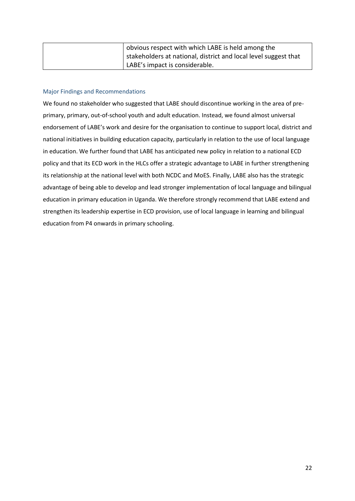| obvious respect with which LABE is held among the                 |
|-------------------------------------------------------------------|
| I stakeholders at national, district and local level suggest that |
| LABE's impact is considerable.                                    |

## <span id="page-21-0"></span>Major Findings and Recommendations

We found no stakeholder who suggested that LABE should discontinue working in the area of preprimary, primary, out-of-school youth and adult education. Instead, we found almost universal endorsement of LABE's work and desire for the organisation to continue to support local, district and national initiatives in building education capacity, particularly in relation to the use of local language in education. We further found that LABE has anticipated new policy in relation to a national ECD policy and that its ECD work in the HLCs offer a strategic advantage to LABE in further strengthening its relationship at the national level with both NCDC and MoES. Finally, LABE also has the strategic advantage of being able to develop and lead stronger implementation of local language and bilingual education in primary education in Uganda. We therefore strongly recommend that LABE extend and strengthen its leadership expertise in ECD provision, use of local language in learning and bilingual education from P4 onwards in primary schooling.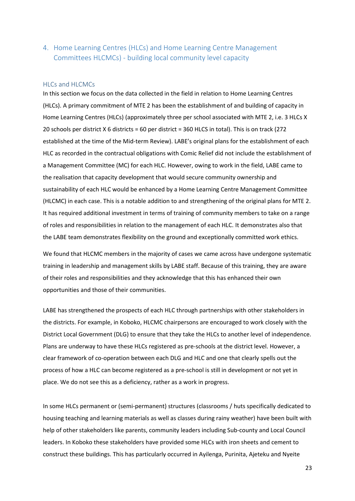<span id="page-22-0"></span>4. Home Learning Centres (HLCs) and Home Learning Centre Management Committees HLCMCs) - building local community level capacity

#### <span id="page-22-1"></span>HLCs and HLCMCs

In this section we focus on the data collected in the field in relation to Home Learning Centres (HLCs). A primary commitment of MTE 2 has been the establishment of and building of capacity in Home Learning Centres (HLCs) (approximately three per school associated with MTE 2, i.e. 3 HLCs X 20 schools per district X 6 districts = 60 per district = 360 HLCS in total). This is on track (272 established at the time of the Mid-term Review). LABE's original plans for the establishment of each HLC as recorded in the contractual obligations with Comic Relief did not include the establishment of a Management Committee (MC) for each HLC. However, owing to work in the field, LABE came to the realisation that capacity development that would secure community ownership and sustainability of each HLC would be enhanced by a Home Learning Centre Management Committee (HLCMC) in each case. This is a notable addition to and strengthening of the original plans for MTE 2. It has required additional investment in terms of training of community members to take on a range of roles and responsibilities in relation to the management of each HLC. It demonstrates also that the LABE team demonstrates flexibility on the ground and exceptionally committed work ethics.

We found that HLCMC members in the majority of cases we came across have undergone systematic training in leadership and management skills by LABE staff. Because of this training, they are aware of their roles and responsibilities and they acknowledge that this has enhanced their own opportunities and those of their communities.

LABE has strengthened the prospects of each HLC through partnerships with other stakeholders in the districts. For example, in Koboko, HLCMC chairpersons are encouraged to work closely with the District Local Government (DLG) to ensure that they take the HLCs to another level of independence. Plans are underway to have these HLCs registered as pre-schools at the district level. However, a clear framework of co-operation between each DLG and HLC and one that clearly spells out the process of how a HLC can become registered as a pre-school is still in development or not yet in place. We do not see this as a deficiency, rather as a work in progress.

In some HLCs permanent or (semi-permanent) structures (classrooms / huts specifically dedicated to housing teaching and learning materials as well as classes during rainy weather) have been built with help of other stakeholders like parents, community leaders including Sub-county and Local Council leaders. In Koboko these stakeholders have provided some HLCs with iron sheets and cement to construct these buildings. This has particularly occurred in Ayilenga, Purinita, Ajeteku and Nyeite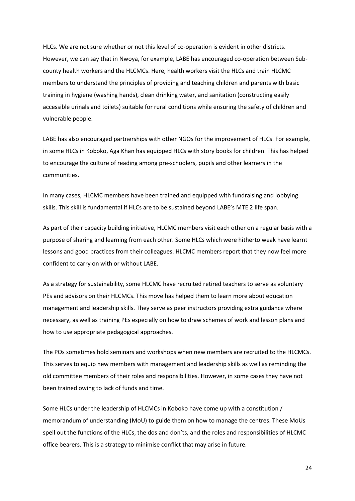HLCs. We are not sure whether or not this level of co-operation is evident in other districts. However, we can say that in Nwoya, for example, LABE has encouraged co-operation between Subcounty health workers and the HLCMCs. Here, health workers visit the HLCs and train HLCMC members to understand the principles of providing and teaching children and parents with basic training in hygiene (washing hands), clean drinking water, and sanitation (constructing easily accessible urinals and toilets) suitable for rural conditions while ensuring the safety of children and vulnerable people.

LABE has also encouraged partnerships with other NGOs for the improvement of HLCs. For example, in some HLCs in Koboko, Aga Khan has equipped HLCs with story books for children. This has helped to encourage the culture of reading among pre-schoolers, pupils and other learners in the communities.

In many cases, HLCMC members have been trained and equipped with fundraising and lobbying skills. This skill is fundamental if HLCs are to be sustained beyond LABE's MTE 2 life span.

As part of their capacity building initiative, HLCMC members visit each other on a regular basis with a purpose of sharing and learning from each other. Some HLCs which were hitherto weak have learnt lessons and good practices from their colleagues. HLCMC members report that they now feel more confident to carry on with or without LABE.

As a strategy for sustainability, some HLCMC have recruited retired teachers to serve as voluntary PEs and advisors on their HLCMCs. This move has helped them to learn more about education management and leadership skills. They serve as peer instructors providing extra guidance where necessary, as well as training PEs especially on how to draw schemes of work and lesson plans and how to use appropriate pedagogical approaches.

The POs sometimes hold seminars and workshops when new members are recruited to the HLCMCs. This serves to equip new members with management and leadership skills as well as reminding the old committee members of their roles and responsibilities. However, in some cases they have not been trained owing to lack of funds and time.

Some HLCs under the leadership of HLCMCs in Koboko have come up with a constitution / memorandum of understanding (MoU) to guide them on how to manage the centres. These MoUs spell out the functions of the HLCs, the dos and don'ts, and the roles and responsibilities of HLCMC office bearers. This is a strategy to minimise conflict that may arise in future.

24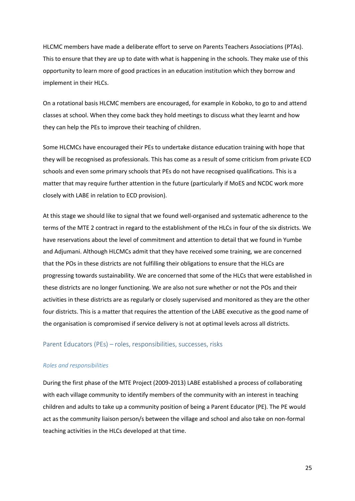HLCMC members have made a deliberate effort to serve on Parents Teachers Associations (PTAs). This to ensure that they are up to date with what is happening in the schools. They make use of this opportunity to learn more of good practices in an education institution which they borrow and implement in their HLCs.

On a rotational basis HLCMC members are encouraged, for example in Koboko, to go to and attend classes at school. When they come back they hold meetings to discuss what they learnt and how they can help the PEs to improve their teaching of children.

Some HLCMCs have encouraged their PEs to undertake distance education training with hope that they will be recognised as professionals. This has come as a result of some criticism from private ECD schools and even some primary schools that PEs do not have recognised qualifications. This is a matter that may require further attention in the future (particularly if MoES and NCDC work more closely with LABE in relation to ECD provision).

At this stage we should like to signal that we found well-organised and systematic adherence to the terms of the MTE 2 contract in regard to the establishment of the HLCs in four of the six districts. We have reservations about the level of commitment and attention to detail that we found in Yumbe and Adjumani. Although HLCMCs admit that they have received some training, we are concerned that the POs in these districts are not fulfilling their obligations to ensure that the HLCs are progressing towards sustainability. We are concerned that some of the HLCs that were established in these districts are no longer functioning. We are also not sure whether or not the POs and their activities in these districts are as regularly or closely supervised and monitored as they are the other four districts. This is a matter that requires the attention of the LABE executive as the good name of the organisation is compromised if service delivery is not at optimal levels across all districts.

#### <span id="page-24-0"></span>Parent Educators (PEs) – roles, responsibilities, successes, risks

#### *Roles and responsibilities*

During the first phase of the MTE Project (2009-2013) LABE established a process of collaborating with each village community to identify members of the community with an interest in teaching children and adults to take up a community position of being a Parent Educator (PE). The PE would act as the community liaison person/s between the village and school and also take on non-formal teaching activities in the HLCs developed at that time.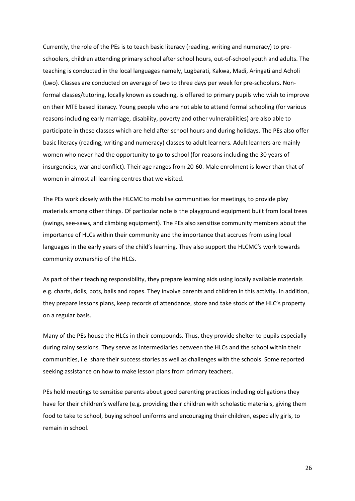Currently, the role of the PEs is to teach basic literacy (reading, writing and numeracy) to preschoolers, children attending primary school after school hours, out-of-school youth and adults. The teaching is conducted in the local languages namely, Lugbarati, Kakwa, Madi, Aringati and Acholi (Lwo). Classes are conducted on average of two to three days per week for pre-schoolers. Nonformal classes/tutoring, locally known as coaching, is offered to primary pupils who wish to improve on their MTE based literacy. Young people who are not able to attend formal schooling (for various reasons including early marriage, disability, poverty and other vulnerabilities) are also able to participate in these classes which are held after school hours and during holidays. The PEs also offer basic literacy (reading, writing and numeracy) classes to adult learners. Adult learners are mainly women who never had the opportunity to go to school (for reasons including the 30 years of insurgencies, war and conflict). Their age ranges from 20-60. Male enrolment is lower than that of women in almost all learning centres that we visited.

The PEs work closely with the HLCMC to mobilise communities for meetings, to provide play materials among other things. Of particular note is the playground equipment built from local trees (swings, see-saws, and climbing equipment). The PEs also sensitise community members about the importance of HLCs within their community and the importance that accrues from using local languages in the early years of the child's learning. They also support the HLCMC's work towards community ownership of the HLCs.

As part of their teaching responsibility, they prepare learning aids using locally available materials e.g. charts, dolls, pots, balls and ropes. They involve parents and children in this activity. In addition, they prepare lessons plans, keep records of attendance, store and take stock of the HLC's property on a regular basis.

Many of the PEs house the HLCs in their compounds. Thus, they provide shelter to pupils especially during rainy sessions. They serve as intermediaries between the HLCs and the school within their communities, i.e. share their success stories as well as challenges with the schools. Some reported seeking assistance on how to make lesson plans from primary teachers.

PEs hold meetings to sensitise parents about good parenting practices including obligations they have for their children's welfare (e.g. providing their children with scholastic materials, giving them food to take to school, buying school uniforms and encouraging their children, especially girls, to remain in school.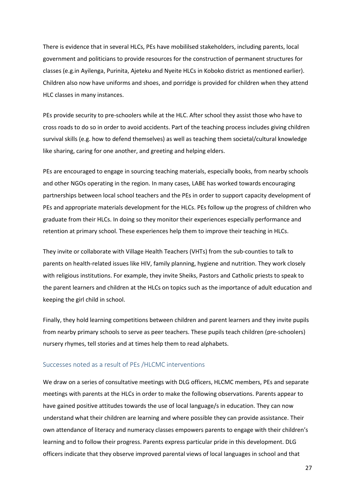There is evidence that in several HLCs, PEs have mobililsed stakeholders, including parents, local government and politicians to provide resources for the construction of permanent structures for classes (e.g.in Ayilenga, Purinita, Ajeteku and Nyeite HLCs in Koboko district as mentioned earlier). Children also now have uniforms and shoes, and porridge is provided for children when they attend HLC classes in many instances.

PEs provide security to pre-schoolers while at the HLC. After school they assist those who have to cross roads to do so in order to avoid accidents. Part of the teaching process includes giving children survival skills (e.g. how to defend themselves) as well as teaching them societal/cultural knowledge like sharing, caring for one another, and greeting and helping elders.

PEs are encouraged to engage in sourcing teaching materials, especially books, from nearby schools and other NGOs operating in the region. In many cases, LABE has worked towards encouraging partnerships between local school teachers and the PEs in order to support capacity development of PEs and appropriate materials development for the HLCs. PEs follow up the progress of children who graduate from their HLCs. In doing so they monitor their experiences especially performance and retention at primary school. These experiences help them to improve their teaching in HLCs.

They invite or collaborate with Village Health Teachers (VHTs) from the sub-counties to talk to parents on health-related issues like HIV, family planning, hygiene and nutrition. They work closely with religious institutions. For example, they invite Sheiks, Pastors and Catholic priests to speak to the parent learners and children at the HLCs on topics such as the importance of adult education and keeping the girl child in school.

Finally, they hold learning competitions between children and parent learners and they invite pupils from nearby primary schools to serve as peer teachers. These pupils teach children (pre-schoolers) nursery rhymes, tell stories and at times help them to read alphabets.

#### <span id="page-26-0"></span>Successes noted as a result of PEs /HLCMC interventions

We draw on a series of consultative meetings with DLG officers, HLCMC members, PEs and separate meetings with parents at the HLCs in order to make the following observations. Parents appear to have gained positive attitudes towards the use of local language/s in education. They can now understand what their children are learning and where possible they can provide assistance. Their own attendance of literacy and numeracy classes empowers parents to engage with their children's learning and to follow their progress. Parents express particular pride in this development. DLG officers indicate that they observe improved parental views of local languages in school and that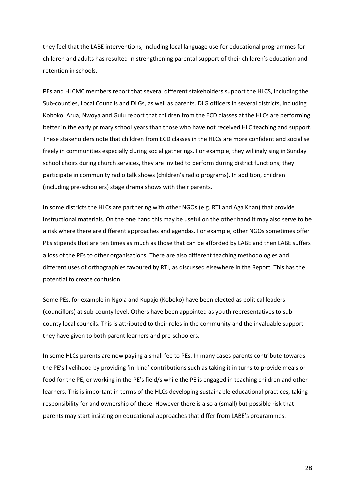they feel that the LABE interventions, including local language use for educational programmes for children and adults has resulted in strengthening parental support of their children's education and retention in schools.

PEs and HLCMC members report that several different stakeholders support the HLCS, including the Sub-counties, Local Councils and DLGs, as well as parents. DLG officers in several districts, including Koboko, Arua, Nwoya and Gulu report that children from the ECD classes at the HLCs are performing better in the early primary school years than those who have not received HLC teaching and support. These stakeholders note that children from ECD classes in the HLCs are more confident and socialise freely in communities especially during social gatherings. For example, they willingly sing in Sunday school choirs during church services, they are invited to perform during district functions; they participate in community radio talk shows (children's radio programs). In addition, children (including pre-schoolers) stage drama shows with their parents.

In some districts the HLCs are partnering with other NGOs (e.g. RTI and Aga Khan) that provide instructional materials. On the one hand this may be useful on the other hand it may also serve to be a risk where there are different approaches and agendas. For example, other NGOs sometimes offer PEs stipends that are ten times as much as those that can be afforded by LABE and then LABE suffers a loss of the PEs to other organisations. There are also different teaching methodologies and different uses of orthographies favoured by RTI, as discussed elsewhere in the Report. This has the potential to create confusion.

Some PEs, for example in Ngola and Kupajo (Koboko) have been elected as political leaders (councillors) at sub-county level. Others have been appointed as youth representatives to subcounty local councils. This is attributed to their roles in the community and the invaluable support they have given to both parent learners and pre-schoolers.

In some HLCs parents are now paying a small fee to PEs. In many cases parents contribute towards the PE's livelihood by providing 'in-kind' contributions such as taking it in turns to provide meals or food for the PE, or working in the PE's field/s while the PE is engaged in teaching children and other learners. This is important in terms of the HLCs developing sustainable educational practices, taking responsibility for and ownership of these. However there is also a (small) but possible risk that parents may start insisting on educational approaches that differ from LABE's programmes.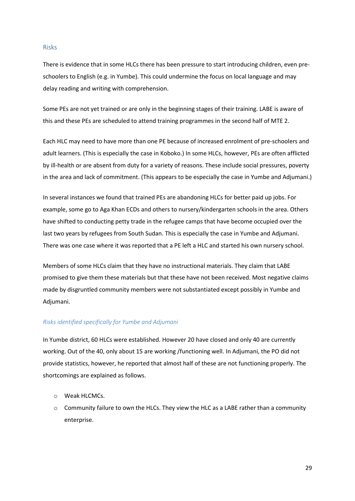#### <span id="page-28-0"></span>Risks

There is evidence that in some HLCs there has been pressure to start introducing children, even preschoolers to English (e.g. in Yumbe). This could undermine the focus on local language and may delay reading and writing with comprehension.

Some PEs are not yet trained or are only in the beginning stages of their training. LABE is aware of this and these PEs are scheduled to attend training programmes in the second half of MTE 2.

Each HLC may need to have more than one PE because of increased enrolment of pre-schoolers and adult learners. (This is especially the case in Koboko.) In some HLCs, however, PEs are often afflicted by ill-health or are absent from duty for a variety of reasons. These include social pressures, poverty in the area and lack of commitment. (This appears to be especially the case in Yumbe and Adjumani.)

In several instances we found that trained PEs are abandoning HLCs for better paid up jobs. For example, some go to Aga Khan ECDs and others to nursery/kindergarten schools in the area. Others have shifted to conducting petty trade in the refugee camps that have become occupied over the last two years by refugees from South Sudan. This is especially the case in Yumbe and Adjumani. There was one case where it was reported that a PE left a HLC and started his own nursery school.

Members of some HLCs claim that they have no instructional materials. They claim that LABE promised to give them these materials but that these have not been received. Most negative claims made by disgruntled community members were not substantiated except possibly in Yumbe and Adjumani.

#### *Risks identified specifically for Yumbe and Adjumani*

In Yumbe district, 60 HLCs were established. However 20 have closed and only 40 are currently working. Out of the 40, only about 15 are working /functioning well. In Adjumani, the PO did not provide statistics, however, he reported that almost half of these are not functioning properly. The shortcomings are explained as follows.

- o Weak HLCMCs.
- $\circ$  Community failure to own the HLCs. They view the HLC as a LABE rather than a community enterprise.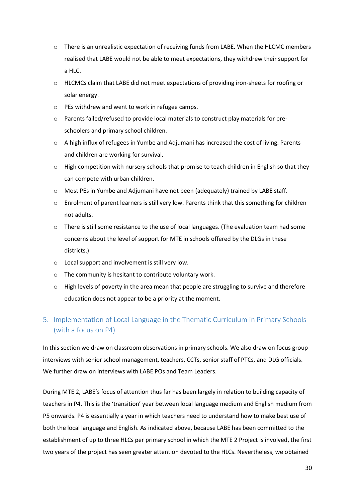- o There is an unrealistic expectation of receiving funds from LABE. When the HLCMC members realised that LABE would not be able to meet expectations, they withdrew their support for a HLC.
- o HLCMCs claim that LABE did not meet expectations of providing iron-sheets for roofing or solar energy.
- o PEs withdrew and went to work in refugee camps.
- o Parents failed/refused to provide local materials to construct play materials for preschoolers and primary school children.
- $\circ$  A high influx of refugees in Yumbe and Adjumani has increased the cost of living. Parents and children are working for survival.
- $\circ$  High competition with nursery schools that promise to teach children in English so that they can compete with urban children.
- o Most PEs in Yumbe and Adjumani have not been (adequately) trained by LABE staff.
- o Enrolment of parent learners is still very low. Parents think that this something for children not adults.
- $\circ$  There is still some resistance to the use of local languages. (The evaluation team had some concerns about the level of support for MTE in schools offered by the DLGs in these districts.)
- o Local support and involvement is still very low.
- o The community is hesitant to contribute voluntary work.
- $\circ$  High levels of poverty in the area mean that people are struggling to survive and therefore education does not appear to be a priority at the moment.

# <span id="page-29-0"></span>5. Implementation of Local Language in the Thematic Curriculum in Primary Schools (with a focus on P4)

In this section we draw on classroom observations in primary schools. We also draw on focus group interviews with senior school management, teachers, CCTs, senior staff of PTCs, and DLG officials. We further draw on interviews with LABE POs and Team Leaders.

During MTE 2, LABE's focus of attention thus far has been largely in relation to building capacity of teachers in P4. This is the 'transition' year between local language medium and English medium from P5 onwards. P4 is essentially a year in which teachers need to understand how to make best use of both the local language and English. As indicated above, because LABE has been committed to the establishment of up to three HLCs per primary school in which the MTE 2 Project is involved, the first two years of the project has seen greater attention devoted to the HLCs. Nevertheless, we obtained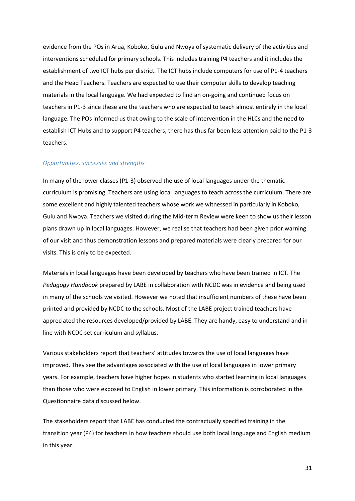evidence from the POs in Arua, Koboko, Gulu and Nwoya of systematic delivery of the activities and interventions scheduled for primary schools. This includes training P4 teachers and it includes the establishment of two ICT hubs per district. The ICT hubs include computers for use of P1-4 teachers and the Head Teachers. Teachers are expected to use their computer skills to develop teaching materials in the local language. We had expected to find an on-going and continued focus on teachers in P1-3 since these are the teachers who are expected to teach almost entirely in the local language. The POs informed us that owing to the scale of intervention in the HLCs and the need to establish ICT Hubs and to support P4 teachers, there has thus far been less attention paid to the P1-3 teachers.

#### *Opportunities, successes and strengths*

In many of the lower classes (P1-3) observed the use of local languages under the thematic curriculum is promising. Teachers are using local languages to teach across the curriculum. There are some excellent and highly talented teachers whose work we witnessed in particularly in Koboko, Gulu and Nwoya. Teachers we visited during the Mid-term Review were keen to show us their lesson plans drawn up in local languages. However, we realise that teachers had been given prior warning of our visit and thus demonstration lessons and prepared materials were clearly prepared for our visits. This is only to be expected.

Materials in local languages have been developed by teachers who have been trained in ICT. The *Pedagogy Handbook* prepared by LABE in collaboration with NCDC was in evidence and being used in many of the schools we visited. However we noted that insufficient numbers of these have been printed and provided by NCDC to the schools. Most of the LABE project trained teachers have appreciated the resources developed/provided by LABE. They are handy, easy to understand and in line with NCDC set curriculum and syllabus.

Various stakeholders report that teachers' attitudes towards the use of local languages have improved. They see the advantages associated with the use of local languages in lower primary years. For example, teachers have higher hopes in students who started learning in local languages than those who were exposed to English in lower primary. This information is corroborated in the Questionnaire data discussed below.

The stakeholders report that LABE has conducted the contractually specified training in the transition year (P4) for teachers in how teachers should use both local language and English medium in this year.

31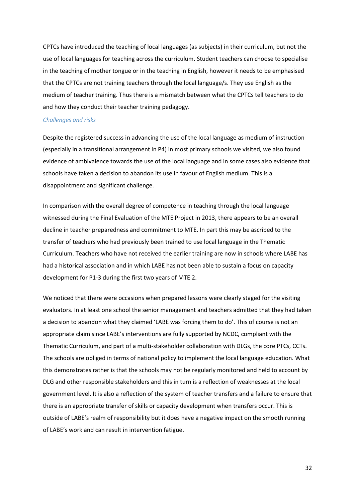CPTCs have introduced the teaching of local languages (as subjects) in their curriculum, but not the use of local languages for teaching across the curriculum. Student teachers can choose to specialise in the teaching of mother tongue or in the teaching in English, however it needs to be emphasised that the CPTCs are not training teachers through the local language/s. They use English as the medium of teacher training. Thus there is a mismatch between what the CPTCs tell teachers to do and how they conduct their teacher training pedagogy.

#### *Challenges and risks*

Despite the registered success in advancing the use of the local language as medium of instruction (especially in a transitional arrangement in P4) in most primary schools we visited, we also found evidence of ambivalence towards the use of the local language and in some cases also evidence that schools have taken a decision to abandon its use in favour of English medium. This is a disappointment and significant challenge.

In comparison with the overall degree of competence in teaching through the local language witnessed during the Final Evaluation of the MTE Project in 2013, there appears to be an overall decline in teacher preparedness and commitment to MTE. In part this may be ascribed to the transfer of teachers who had previously been trained to use local language in the Thematic Curriculum. Teachers who have not received the earlier training are now in schools where LABE has had a historical association and in which LABE has not been able to sustain a focus on capacity development for P1-3 during the first two years of MTE 2.

We noticed that there were occasions when prepared lessons were clearly staged for the visiting evaluators. In at least one school the senior management and teachers admitted that they had taken a decision to abandon what they claimed 'LABE was forcing them to do'. This of course is not an appropriate claim since LABE's interventions are fully supported by NCDC, compliant with the Thematic Curriculum, and part of a multi-stakeholder collaboration with DLGs, the core PTCs, CCTs. The schools are obliged in terms of national policy to implement the local language education. What this demonstrates rather is that the schools may not be regularly monitored and held to account by DLG and other responsible stakeholders and this in turn is a reflection of weaknesses at the local government level. It is also a reflection of the system of teacher transfers and a failure to ensure that there is an appropriate transfer of skills or capacity development when transfers occur. This is outside of LABE's realm of responsibility but it does have a negative impact on the smooth running of LABE's work and can result in intervention fatigue.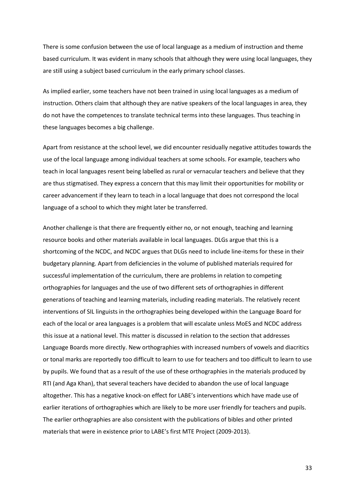There is some confusion between the use of local language as a medium of instruction and theme based curriculum. It was evident in many schools that although they were using local languages, they are still using a subject based curriculum in the early primary school classes.

As implied earlier, some teachers have not been trained in using local languages as a medium of instruction. Others claim that although they are native speakers of the local languages in area, they do not have the competences to translate technical terms into these languages. Thus teaching in these languages becomes a big challenge.

Apart from resistance at the school level, we did encounter residually negative attitudes towards the use of the local language among individual teachers at some schools. For example, teachers who teach in local languages resent being labelled as rural or vernacular teachers and believe that they are thus stigmatised. They express a concern that this may limit their opportunities for mobility or career advancement if they learn to teach in a local language that does not correspond the local language of a school to which they might later be transferred.

Another challenge is that there are frequently either no, or not enough, teaching and learning resource books and other materials available in local languages. DLGs argue that this is a shortcoming of the NCDC, and NCDC argues that DLGs need to include line-items for these in their budgetary planning. Apart from deficiencies in the volume of published materials required for successful implementation of the curriculum, there are problems in relation to competing orthographies for languages and the use of two different sets of orthographies in different generations of teaching and learning materials, including reading materials. The relatively recent interventions of SIL linguists in the orthographies being developed within the Language Board for each of the local or area languages is a problem that will escalate unless MoES and NCDC address this issue at a national level. This matter is discussed in relation to the section that addresses Language Boards more directly. New orthographies with increased numbers of vowels and diacritics or tonal marks are reportedly too difficult to learn to use for teachers and too difficult to learn to use by pupils. We found that as a result of the use of these orthographies in the materials produced by RTI (and Aga Khan), that several teachers have decided to abandon the use of local language altogether. This has a negative knock-on effect for LABE's interventions which have made use of earlier iterations of orthographies which are likely to be more user friendly for teachers and pupils. The earlier orthographies are also consistent with the publications of bibles and other printed materials that were in existence prior to LABE's first MTE Project (2009-2013).

33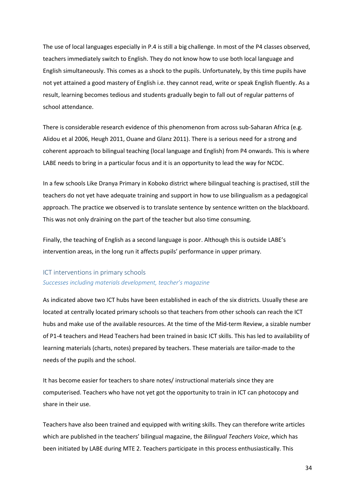The use of local languages especially in P.4 is still a big challenge. In most of the P4 classes observed, teachers immediately switch to English. They do not know how to use both local language and English simultaneously. This comes as a shock to the pupils. Unfortunately, by this time pupils have not yet attained a good mastery of English i.e. they cannot read, write or speak English fluently. As a result, learning becomes tedious and students gradually begin to fall out of regular patterns of school attendance.

There is considerable research evidence of this phenomenon from across sub-Saharan Africa (e.g. Alidou et al 2006, Heugh 2011, Ouane and Glanz 2011). There is a serious need for a strong and coherent approach to bilingual teaching (local language and English) from P4 onwards. This is where LABE needs to bring in a particular focus and it is an opportunity to lead the way for NCDC.

In a few schools Like Dranya Primary in Koboko district where bilingual teaching is practised, still the teachers do not yet have adequate training and support in how to use bilingualism as a pedagogical approach. The practice we observed is to translate sentence by sentence written on the blackboard. This was not only draining on the part of the teacher but also time consuming.

Finally, the teaching of English as a second language is poor. Although this is outside LABE's intervention areas, in the long run it affects pupils' performance in upper primary.

# <span id="page-33-0"></span>ICT interventions in primary schools *Successes including materials development, teacher's magazine*

As indicated above two ICT hubs have been established in each of the six districts. Usually these are located at centrally located primary schools so that teachers from other schools can reach the ICT hubs and make use of the available resources. At the time of the Mid-term Review, a sizable number of P1-4 teachers and Head Teachers had been trained in basic ICT skills. This has led to availability of learning materials (charts, notes) prepared by teachers. These materials are tailor-made to the needs of the pupils and the school.

It has become easier for teachers to share notes/ instructional materials since they are computerised. Teachers who have not yet got the opportunity to train in ICT can photocopy and share in their use.

Teachers have also been trained and equipped with writing skills. They can therefore write articles which are published in the teachers' bilingual magazine, the *Bilingual Teachers Voice*, which has been initiated by LABE during MTE 2. Teachers participate in this process enthusiastically. This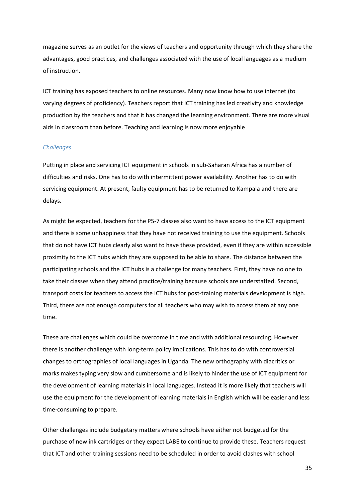magazine serves as an outlet for the views of teachers and opportunity through which they share the advantages, good practices, and challenges associated with the use of local languages as a medium of instruction.

ICT training has exposed teachers to online resources. Many now know how to use internet (to varying degrees of proficiency). Teachers report that ICT training has led creativity and knowledge production by the teachers and that it has changed the learning environment. There are more visual aids in classroom than before. Teaching and learning is now more enjoyable

#### *Challenges*

Putting in place and servicing ICT equipment in schools in sub-Saharan Africa has a number of difficulties and risks. One has to do with intermittent power availability. Another has to do with servicing equipment. At present, faulty equipment has to be returned to Kampala and there are delays.

As might be expected, teachers for the P5-7 classes also want to have access to the ICT equipment and there is some unhappiness that they have not received training to use the equipment. Schools that do not have ICT hubs clearly also want to have these provided, even if they are within accessible proximity to the ICT hubs which they are supposed to be able to share. The distance between the participating schools and the ICT hubs is a challenge for many teachers. First, they have no one to take their classes when they attend practice/training because schools are understaffed. Second, transport costs for teachers to access the ICT hubs for post-training materials development is high. Third, there are not enough computers for all teachers who may wish to access them at any one time.

These are challenges which could be overcome in time and with additional resourcing. However there is another challenge with long-term policy implications. This has to do with controversial changes to orthographies of local languages in Uganda. The new orthography with diacritics or marks makes typing very slow and cumbersome and is likely to hinder the use of ICT equipment for the development of learning materials in local languages. Instead it is more likely that teachers will use the equipment for the development of learning materials in English which will be easier and less time-consuming to prepare.

Other challenges include budgetary matters where schools have either not budgeted for the purchase of new ink cartridges or they expect LABE to continue to provide these. Teachers request that ICT and other training sessions need to be scheduled in order to avoid clashes with school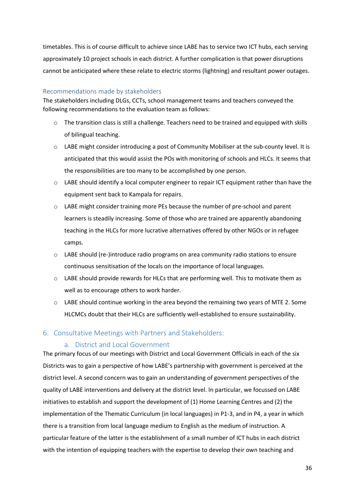timetables. This is of course difficult to achieve since LABE has to service two ICT hubs, each serving approximately 10 project schools in each district. A further complication is that power disruptions cannot be anticipated where these relate to electric storms (lightning) and resultant power outages.

#### <span id="page-35-0"></span>Recommendations made by stakeholders

The stakeholders including DLGs, CCTs, school management teams and teachers conveyed the following recommendations to the evaluation team as follows:

- $\circ$  The transition class is still a challenge. Teachers need to be trained and equipped with skills of bilingual teaching.
- o LABE might consider introducing a post of Community Mobiliser at the sub-county level. It is anticipated that this would assist the POs with monitoring of schools and HLCs. It seems that the responsibilities are too many to be accomplished by one person.
- $\circ$  LABE should identify a local computer engineer to repair ICT equipment rather than have the equipment sent back to Kampala for repairs.
- $\circ$  LABE might consider training more PEs because the number of pre-school and parent learners is steadily increasing. Some of those who are trained are apparently abandoning teaching in the HLCs for more lucrative alternatives offered by other NGOs or in refugee camps.
- o LABE should (re-)introduce radio programs on area community radio stations to ensure continuous sensitisation of the locals on the importance of local languages.
- $\circ$  LABE should provide rewards for HLCs that are performing well. This to motivate them as well as to encourage others to work harder.
- o LABE should continue working in the area beyond the remaining two years of MTE 2. Some HLCMCs doubt that their HLCs are sufficiently well-established to ensure sustainability.

#### <span id="page-35-2"></span><span id="page-35-1"></span>6. Consultative Meetings with Partners and Stakeholders:

#### a. District and Local Government

The primary focus of our meetings with District and Local Government Officials in each of the six Districts was to gain a perspective of how LABE's partnership with government is perceived at the district level. A second concern was to gain an understanding of government perspectives of the quality of LABE interventions and delivery at the district level. In particular, we focussed on LABE initiatives to establish and support the development of (1) Home Learning Centres and (2) the implementation of the Thematic Curriculum (in local languages) in P1-3, and in P4, a year in which there is a transition from local language medium to English as the medium of instruction. A particular feature of the latter is the establishment of a small number of ICT hubs in each district with the intention of equipping teachers with the expertise to develop their own teaching and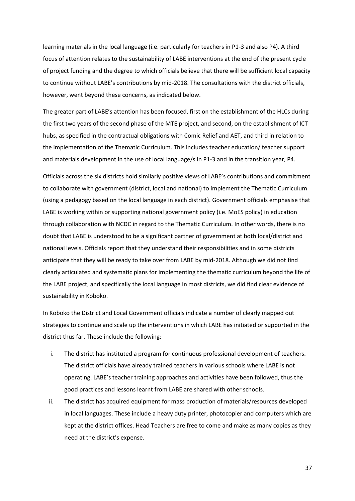learning materials in the local language (i.e. particularly for teachers in P1-3 and also P4). A third focus of attention relates to the sustainability of LABE interventions at the end of the present cycle of project funding and the degree to which officials believe that there will be sufficient local capacity to continue without LABE's contributions by mid-2018. The consultations with the district officials, however, went beyond these concerns, as indicated below.

The greater part of LABE's attention has been focused, first on the establishment of the HLCs during the first two years of the second phase of the MTE project, and second, on the establishment of ICT hubs, as specified in the contractual obligations with Comic Relief and AET, and third in relation to the implementation of the Thematic Curriculum. This includes teacher education/ teacher support and materials development in the use of local language/s in P1-3 and in the transition year, P4.

Officials across the six districts hold similarly positive views of LABE's contributions and commitment to collaborate with government (district, local and national) to implement the Thematic Curriculum (using a pedagogy based on the local language in each district). Government officials emphasise that LABE is working within or supporting national government policy (i.e. MoES policy) in education through collaboration with NCDC in regard to the Thematic Curriculum. In other words, there is no doubt that LABE is understood to be a significant partner of government at both local/district and national levels. Officials report that they understand their responsibilities and in some districts anticipate that they will be ready to take over from LABE by mid-2018. Although we did not find clearly articulated and systematic plans for implementing the thematic curriculum beyond the life of the LABE project, and specifically the local language in most districts, we did find clear evidence of sustainability in Koboko.

In Koboko the District and Local Government officials indicate a number of clearly mapped out strategies to continue and scale up the interventions in which LABE has initiated or supported in the district thus far. These include the following:

- i. The district has instituted a program for continuous professional development of teachers. The district officials have already trained teachers in various schools where LABE is not operating. LABE's teacher training approaches and activities have been followed, thus the good practices and lessons learnt from LABE are shared with other schools.
- ii. The district has acquired equipment for mass production of materials/resources developed in local languages. These include a heavy duty printer, photocopier and computers which are kept at the district offices. Head Teachers are free to come and make as many copies as they need at the district's expense.

37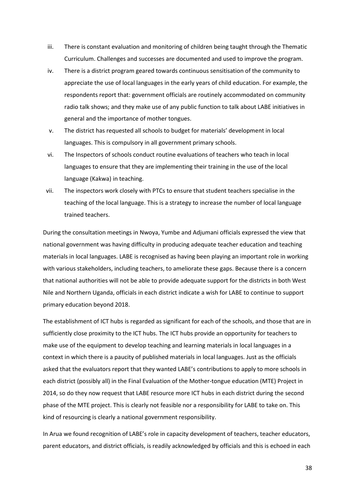- iii. There is constant evaluation and monitoring of children being taught through the Thematic Curriculum. Challenges and successes are documented and used to improve the program.
- iv. There is a district program geared towards continuous sensitisation of the community to appreciate the use of local languages in the early years of child education. For example, the respondents report that: government officials are routinely accommodated on community radio talk shows; and they make use of any public function to talk about LABE initiatives in general and the importance of mother tongues.
- v. The district has requested all schools to budget for materials' development in local languages. This is compulsory in all government primary schools.
- vi. The Inspectors of schools conduct routine evaluations of teachers who teach in local languages to ensure that they are implementing their training in the use of the local language (Kakwa) in teaching.
- vii. The inspectors work closely with PTCs to ensure that student teachers specialise in the teaching of the local language. This is a strategy to increase the number of local language trained teachers.

During the consultation meetings in Nwoya, Yumbe and Adjumani officials expressed the view that national government was having difficulty in producing adequate teacher education and teaching materials in local languages. LABE is recognised as having been playing an important role in working with various stakeholders, including teachers, to ameliorate these gaps. Because there is a concern that national authorities will not be able to provide adequate support for the districts in both West Nile and Northern Uganda, officials in each district indicate a wish for LABE to continue to support primary education beyond 2018.

The establishment of ICT hubs is regarded as significant for each of the schools, and those that are in sufficiently close proximity to the ICT hubs. The ICT hubs provide an opportunity for teachers to make use of the equipment to develop teaching and learning materials in local languages in a context in which there is a paucity of published materials in local languages. Just as the officials asked that the evaluators report that they wanted LABE's contributions to apply to more schools in each district (possibly all) in the Final Evaluation of the Mother-tongue education (MTE) Project in 2014, so do they now request that LABE resource more ICT hubs in each district during the second phase of the MTE project. This is clearly not feasible nor a responsibility for LABE to take on. This kind of resourcing is clearly a national government responsibility.

In Arua we found recognition of LABE's role in capacity development of teachers, teacher educators, parent educators, and district officials, is readily acknowledged by officials and this is echoed in each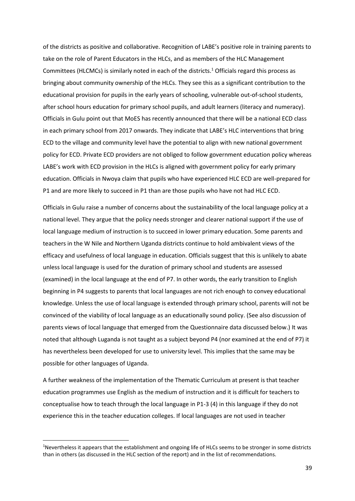of the districts as positive and collaborative. Recognition of LABE's positive role in training parents to take on the role of Parent Educators in the HLCs, and as members of the HLC Management Committees (HLCMCs) is similarly noted in each of the districts.<sup>1</sup> Officials regard this process as bringing about community ownership of the HLCs. They see this as a significant contribution to the educational provision for pupils in the early years of schooling, vulnerable out-of-school students, after school hours education for primary school pupils, and adult learners (literacy and numeracy). Officials in Gulu point out that MoES has recently announced that there will be a national ECD class in each primary school from 2017 onwards. They indicate that LABE's HLC interventions that bring ECD to the village and community level have the potential to align with new national government policy for ECD. Private ECD providers are not obliged to follow government education policy whereas LABE's work with ECD provision in the HLCs is aligned with government policy for early primary education. Officials in Nwoya claim that pupils who have experienced HLC ECD are well-prepared for P1 and are more likely to succeed in P1 than are those pupils who have not had HLC ECD.

Officials in Gulu raise a number of concerns about the sustainability of the local language policy at a national level. They argue that the policy needs stronger and clearer national support if the use of local language medium of instruction is to succeed in lower primary education. Some parents and teachers in the W Nile and Northern Uganda districts continue to hold ambivalent views of the efficacy and usefulness of local language in education. Officials suggest that this is unlikely to abate unless local language is used for the duration of primary school and students are assessed (examined) in the local language at the end of P7. In other words, the early transition to English beginning in P4 suggests to parents that local languages are not rich enough to convey educational knowledge. Unless the use of local language is extended through primary school, parents will not be convinced of the viability of local language as an educationally sound policy. (See also discussion of parents views of local language that emerged from the Questionnaire data discussed below.) It was noted that although Luganda is not taught as a subject beyond P4 (nor examined at the end of P7) it has nevertheless been developed for use to university level. This implies that the same may be possible for other languages of Uganda.

A further weakness of the implementation of the Thematic Curriculum at present is that teacher education programmes use English as the medium of instruction and it is difficult for teachers to conceptualise how to teach through the local language in P1-3 (4) in this language if they do not experience this in the teacher education colleges. If local languages are not used in teacher

**.** 

<sup>&</sup>lt;sup>1</sup>Nevertheless it appears that the establishment and ongoing life of HLCs seems to be stronger in some districts than in others (as discussed in the HLC section of the report) and in the list of recommendations.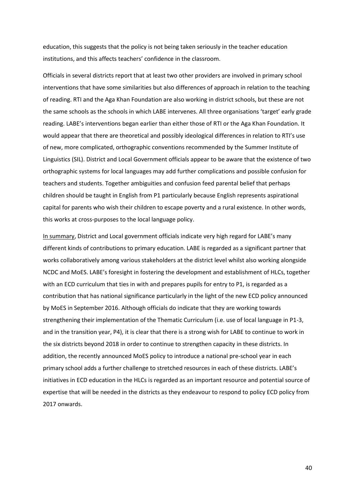education, this suggests that the policy is not being taken seriously in the teacher education institutions, and this affects teachers' confidence in the classroom.

Officials in several districts report that at least two other providers are involved in primary school interventions that have some similarities but also differences of approach in relation to the teaching of reading. RTI and the Aga Khan Foundation are also working in district schools, but these are not the same schools as the schools in which LABE intervenes. All three organisations 'target' early grade reading. LABE's interventions began earlier than either those of RTI or the Aga Khan Foundation. It would appear that there are theoretical and possibly ideological differences in relation to RTI's use of new, more complicated, orthographic conventions recommended by the Summer Institute of Linguistics (SIL). District and Local Government officials appear to be aware that the existence of two orthographic systems for local languages may add further complications and possible confusion for teachers and students. Together ambiguities and confusion feed parental belief that perhaps children should be taught in English from P1 particularly because English represents aspirational capital for parents who wish their children to escape poverty and a rural existence. In other words, this works at cross-purposes to the local language policy.

In summary, District and Local government officials indicate very high regard for LABE's many different kinds of contributions to primary education. LABE is regarded as a significant partner that works collaboratively among various stakeholders at the district level whilst also working alongside NCDC and MoES. LABE's foresight in fostering the development and establishment of HLCs, together with an ECD curriculum that ties in with and prepares pupils for entry to P1, is regarded as a contribution that has national significance particularly in the light of the new ECD policy announced by MoES in September 2016. Although officials do indicate that they are working towards strengthening their implementation of the Thematic Curriculum (i.e. use of local language in P1-3, and in the transition year, P4), it is clear that there is a strong wish for LABE to continue to work in the six districts beyond 2018 in order to continue to strengthen capacity in these districts. In addition, the recently announced MoES policy to introduce a national pre-school year in each primary school adds a further challenge to stretched resources in each of these districts. LABE's initiatives in ECD education in the HLCs is regarded as an important resource and potential source of expertise that will be needed in the districts as they endeavour to respond to policy ECD policy from 2017 onwards.

40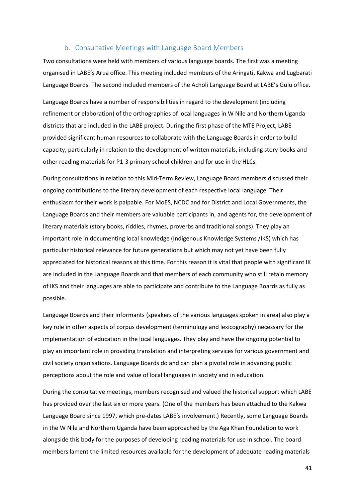#### b. Consultative Meetings with Language Board Members

<span id="page-40-0"></span>Two consultations were held with members of various language boards. The first was a meeting organised in LABE's Arua office. This meeting included members of the Aringati, Kakwa and Lugbarati Language Boards. The second included members of the Acholi Language Board at LABE's Gulu office.

Language Boards have a number of responsibilities in regard to the development (including refinement or elaboration) of the orthographies of local languages in W Nile and Northern Uganda districts that are included in the LABE project. During the first phase of the MTE Project, LABE provided significant human resources to collaborate with the Language Boards in order to build capacity, particularly in relation to the development of written materials, including story books and other reading materials for P1-3 primary school children and for use in the HLCs.

During consultations in relation to this Mid-Term Review, Language Board members discussed their ongoing contributions to the literary development of each respective local language. Their enthusiasm for their work is palpable. For MoES, NCDC and for District and Local Governments, the Language Boards and their members are valuable participants in, and agents for, the development of literary materials (story books, riddles, rhymes, proverbs and traditional songs). They play an important role in documenting local knowledge (Indigenous Knowledge Systems /IKS) which has particular historical relevance for future generations but which may not yet have been fully appreciated for historical reasons at this time. For this reason it is vital that people with significant IK are included in the Language Boards and that members of each community who still retain memory of IKS and their languages are able to participate and contribute to the Language Boards as fully as possible.

Language Boards and their informants (speakers of the various languages spoken in area) also play a key role in other aspects of corpus development (terminology and lexicography) necessary for the implementation of education in the local languages. They play and have the ongoing potential to play an important role in providing translation and interpreting services for various government and civil society organisations. Language Boards do and can plan a pivotal role in advancing public perceptions about the role and value of local languages in society and in education.

During the consultative meetings, members recognised and valued the historical support which LABE has provided over the last six or more years. (One of the members has been attached to the Kakwa Language Board since 1997, which pre-dates LABE's involvement.) Recently, some Language Boards in the W Nile and Northern Uganda have been approached by the Aga Khan Foundation to work alongside this body for the purposes of developing reading materials for use in school. The board members lament the limited resources available for the development of adequate reading materials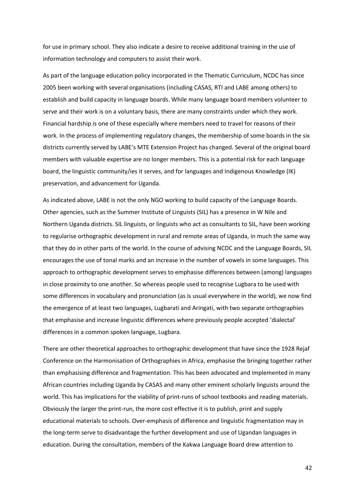for use in primary school. They also indicate a desire to receive additional training in the use of information technology and computers to assist their work.

As part of the language education policy incorporated in the Thematic Curriculum, NCDC has since 2005 been working with several organisations (including CASAS, RTI and LABE among others) to establish and build capacity in language boards. While many language board members volunteer to serve and their work is on a voluntary basis, there are many constraints under which they work. Financial hardship is one of these especially where members need to travel for reasons of their work. In the process of implementing regulatory changes, the membership of some boards in the six districts currently served by LABE's MTE Extension Project has changed. Several of the original board members with valuable expertise are no longer members. This is a potential risk for each language board, the linguistic community/ies it serves, and for languages and Indigenous Knowledge (IK) preservation, and advancement for Uganda.

As indicated above, LABE is not the only NGO working to build capacity of the Language Boards. Other agencies, such as the Summer Institute of Linguists (SIL) has a presence in W Nile and Northern Uganda districts. SIL linguists, or linguists who act as consultants to SIL, have been working to regularise orthographic development in rural and remote areas of Uganda, in much the same way that they do in other parts of the world. In the course of advising NCDC and the Language Boards, SIL encourages the use of tonal marks and an increase in the number of vowels in some languages. This approach to orthographic development serves to emphasise differences between (among) languages in close proximity to one another. So whereas people used to recognise Lugbara to be used with some differences in vocabulary and pronunciation (as is usual everywhere in the world), we now find the emergence of at least two languages, Lugbarati and Aringati, with two separate orthographies that emphasise and increase linguistic differences where previously people accepted 'dialectal' differences in a common spoken language, Lugbara.

There are other theoretical approaches to orthographic development that have since the 1928 Rejaf Conference on the Harmonisation of Orthographies in Africa, emphasise the bringing together rather than emphasising difference and fragmentation. This has been advocated and implemented in many African countries including Uganda by CASAS and many other eminent scholarly linguists around the world. This has implications for the viability of print-runs of school textbooks and reading materials. Obviously the larger the print-run, the more cost effective it is to publish, print and supply educational materials to schools. Over-emphasis of difference and linguistic fragmentation may in the long-term serve to disadvantage the further development and use of Ugandan languages in education. During the consultation, members of the Kakwa Language Board drew attention to

42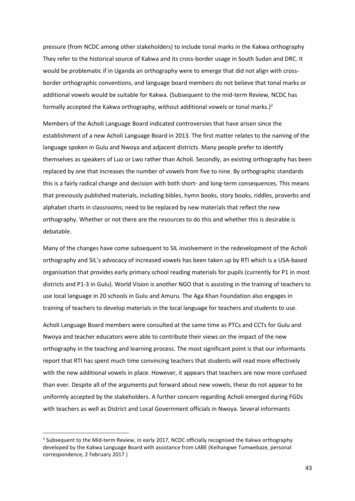pressure (from NCDC among other stakeholders) to include tonal marks in the Kakwa orthography They refer to the historical source of Kakwa and its cross-border usage in South Sudan and DRC. It would be problematic if in Uganda an orthography were to emerge that did not align with crossborder orthographic conventions, and language board members do not believe that tonal marks or additional vowels would be suitable for Kakwa. (Subsequent to the mid-term Review, NCDC has formally accepted the Kakwa orthography, without additional vowels or tonal marks.)<sup>2</sup>

Members of the Acholi Language Board indicated controversies that have arisen since the establishment of a new Acholi Language Board in 2013. The first matter relates to the naming of the language spoken in Gulu and Nwoya and adjacent districts. Many people prefer to identify themselves as speakers of Luo or Lwo rather than Acholi. Secondly, an existing orthography has been replaced by one that increases the number of vowels from five to nine. By orthographic standards this is a fairly radical change and decision with both short- and long-term consequences. This means that previously published materials, including bibles, hymn books, story books, riddles, proverbs and alphabet charts in classrooms; need to be replaced by new materials that reflect the new orthography. Whether or not there are the resources to do this and whether this is desirable is debatable.

Many of the changes have come subsequent to SIL involvement in the redevelopment of the Acholi orthography and SIL's advocacy of increased vowels has been taken up by RTI which is a USA-based organisation that provides early primary school reading materials for pupils (currently for P1 in most districts and P1-3 in Gulu). World Vision is another NGO that is assisting in the training of teachers to use local language in 20 schools in Gulu and Amuru. The Aga Khan Foundation also engages in training of teachers to develop materials in the local language for teachers and students to use.

Acholi Language Board members were consulted at the same time as PTCs and CCTs for Gulu and Nwoya and teacher educators were able to contribute their views on the impact of the new orthography in the teaching and learning process. The most significant point is that our informants report that RTI has spent much time convincing teachers that students will read more effectively with the new additional vowels in place. However, it appears that teachers are now more confused than ever. Despite all of the arguments put forward about new vowels, these do not appear to be uniformly accepted by the stakeholders. A further concern regarding Acholi emerged during FGDs with teachers as well as District and Local Government officials in Nwoya. Several informants

**.** 

<sup>&</sup>lt;sup>2</sup> Subsequent to the Mid-term Review, in early 2017, NCDC officially recognised the Kakwa orthography developed by the Kakwa Language Board with assistance from LABE (Keihangwe Tumwebaze, personal correspondence, 2 February 2017 )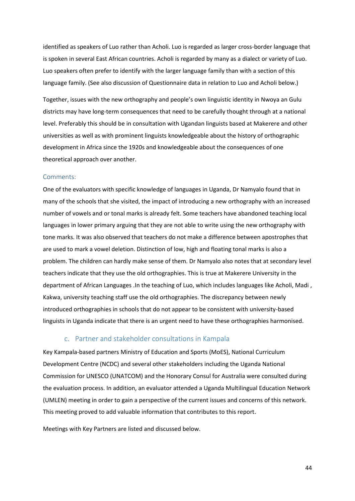identified as speakers of Luo rather than Acholi. Luo is regarded as larger cross-border language that is spoken in several East African countries. Acholi is regarded by many as a dialect or variety of Luo. Luo speakers often prefer to identify with the larger language family than with a section of this language family. (See also discussion of Questionnaire data in relation to Luo and Acholi below.)

Together, issues with the new orthography and people's own linguistic identity in Nwoya an Gulu districts may have long-term consequences that need to be carefully thought through at a national level. Preferably this should be in consultation with Ugandan linguists based at Makerere and other universities as well as with prominent linguists knowledgeable about the history of orthographic development in Africa since the 1920s and knowledgeable about the consequences of one theoretical approach over another.

#### <span id="page-43-0"></span>Comments:

One of the evaluators with specific knowledge of languages in Uganda, Dr Namyalo found that in many of the schools that she visited, the impact of introducing a new orthography with an increased number of vowels and or tonal marks is already felt. Some teachers have abandoned teaching local languages in lower primary arguing that they are not able to write using the new orthography with tone marks. It was also observed that teachers do not make a difference between apostrophes that are used to mark a vowel deletion. Distinction of low, high and floating tonal marks is also a problem. The children can hardly make sense of them. Dr Namyalo also notes that at secondary level teachers indicate that they use the old orthographies. This is true at Makerere University in the department of African Languages .In the teaching of Luo, which includes languages like Acholi, Madi , Kakwa, university teaching staff use the old orthographies. The discrepancy between newly introduced orthographies in schools that do not appear to be consistent with university-based linguists in Uganda indicate that there is an urgent need to have these orthographies harmonised.

#### c. Partner and stakeholder consultations in Kampala

<span id="page-43-1"></span>Key Kampala-based partners Ministry of Education and Sports (MoES), National Curriculum Development Centre (NCDC) and several other stakeholders including the Uganda National Commission for UNESCO (UNATCOM) and the Honorary Consul for Australia were consulted during the evaluation process. In addition, an evaluator attended a Uganda Multilingual Education Network (UMLEN) meeting in order to gain a perspective of the current issues and concerns of this network. This meeting proved to add valuable information that contributes to this report.

Meetings with Key Partners are listed and discussed below.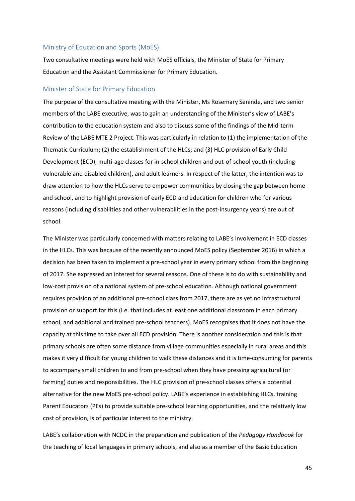#### <span id="page-44-0"></span>Ministry of Education and Sports (MoES)

Two consultative meetings were held with MoES officials, the Minister of State for Primary Education and the Assistant Commissioner for Primary Education.

#### <span id="page-44-1"></span>Minister of State for Primary Education

The purpose of the consultative meeting with the Minister, Ms Rosemary Seninde, and two senior members of the LABE executive, was to gain an understanding of the Minister's view of LABE's contribution to the education system and also to discuss some of the findings of the Mid-term Review of the LABE MTE 2 Project. This was particularly in relation to (1) the implementation of the Thematic Curriculum; (2) the establishment of the HLCs; and (3) HLC provision of Early Child Development (ECD), multi-age classes for in-school children and out-of-school youth (including vulnerable and disabled children), and adult learners. In respect of the latter, the intention was to draw attention to how the HLCs serve to empower communities by closing the gap between home and school, and to highlight provision of early ECD and education for children who for various reasons (including disabilities and other vulnerabilities in the post-insurgency years) are out of school.

The Minister was particularly concerned with matters relating to LABE's involvement in ECD classes in the HLCs. This was because of the recently announced MoES policy (September 2016) in which a decision has been taken to implement a pre-school year in every primary school from the beginning of 2017. She expressed an interest for several reasons. One of these is to do with sustainability and low-cost provision of a national system of pre-school education. Although national government requires provision of an additional pre-school class from 2017, there are as yet no infrastructural provision or support for this (i.e. that includes at least one additional classroom in each primary school, and additional and trained pre-school teachers). MoES recognises that it does not have the capacity at this time to take over all ECD provision. There is another consideration and this is that primary schools are often some distance from village communities especially in rural areas and this makes it very difficult for young children to walk these distances and it is time-consuming for parents to accompany small children to and from pre-school when they have pressing agricultural (or farming) duties and responsibilities. The HLC provision of pre-school classes offers a potential alternative for the new MoES pre-school policy. LABE's experience in establishing HLCs, training Parent Educators (PEs) to provide suitable pre-school learning opportunities, and the relatively low cost of provision, is of particular interest to the ministry.

LABE's collaboration with NCDC in the preparation and publication of the *Pedagogy Handbook* for the teaching of local languages in primary schools, and also as a member of the Basic Education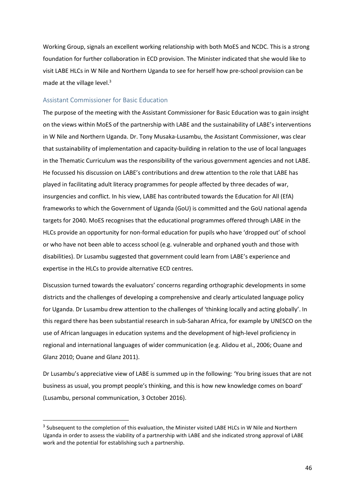Working Group, signals an excellent working relationship with both MoES and NCDC. This is a strong foundation for further collaboration in ECD provision. The Minister indicated that she would like to visit LABE HLCs in W Nile and Northern Uganda to see for herself how pre-school provision can be made at the village level. $3$ 

#### <span id="page-45-0"></span>Assistant Commissioner for Basic Education

 $\overline{\phantom{a}}$ 

The purpose of the meeting with the Assistant Commissioner for Basic Education was to gain insight on the views within MoES of the partnership with LABE and the sustainability of LABE's interventions in W Nile and Northern Uganda. Dr. Tony Musaka-Lusambu, the Assistant Commissioner, was clear that sustainability of implementation and capacity-building in relation to the use of local languages in the Thematic Curriculum was the responsibility of the various government agencies and not LABE. He focussed his discussion on LABE's contributions and drew attention to the role that LABE has played in facilitating adult literacy programmes for people affected by three decades of war, insurgencies and conflict. In his view, LABE has contributed towards the Education for All (EfA) frameworks to which the Government of Uganda (GoU) is committed and the GoU national agenda targets for 2040. MoES recognises that the educational programmes offered through LABE in the HLCs provide an opportunity for non-formal education for pupils who have 'dropped out' of school or who have not been able to access school (e.g. vulnerable and orphaned youth and those with disabilities). Dr Lusambu suggested that government could learn from LABE's experience and expertise in the HLCs to provide alternative ECD centres.

Discussion turned towards the evaluators' concerns regarding orthographic developments in some districts and the challenges of developing a comprehensive and clearly articulated language policy for Uganda. Dr Lusambu drew attention to the challenges of 'thinking locally and acting globally'. In this regard there has been substantial research in sub-Saharan Africa, for example by UNESCO on the use of African languages in education systems and the development of high-level proficiency in regional and international languages of wider communication (e.g. Alidou et al., 2006; Ouane and Glanz 2010; Ouane and Glanz 2011).

Dr Lusambu's appreciative view of LABE is summed up in the following: 'You bring issues that are not business as usual, you prompt people's thinking, and this is how new knowledge comes on board' (Lusambu, personal communication, 3 October 2016).

<sup>&</sup>lt;sup>3</sup> Subsequent to the completion of this evaluation, the Minister visited LABE HLCs in W Nile and Northern Uganda in order to assess the viability of a partnership with LABE and she indicated strong approval of LABE work and the potential for establishing such a partnership.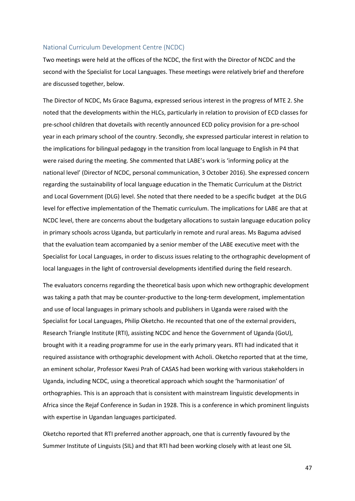#### <span id="page-46-0"></span>National Curriculum Development Centre (NCDC)

Two meetings were held at the offices of the NCDC, the first with the Director of NCDC and the second with the Specialist for Local Languages. These meetings were relatively brief and therefore are discussed together, below.

The Director of NCDC, Ms Grace Baguma, expressed serious interest in the progress of MTE 2. She noted that the developments within the HLCs, particularly in relation to provision of ECD classes for pre-school children that dovetails with recently announced ECD policy provision for a pre-school year in each primary school of the country. Secondly, she expressed particular interest in relation to the implications for bilingual pedagogy in the transition from local language to English in P4 that were raised during the meeting. She commented that LABE's work is 'informing policy at the national level' (Director of NCDC, personal communication, 3 October 2016). She expressed concern regarding the sustainability of local language education in the Thematic Curriculum at the District and Local Government (DLG) level. She noted that there needed to be a specific budget at the DLG level for effective implementation of the Thematic curriculum. The implications for LABE are that at NCDC level, there are concerns about the budgetary allocations to sustain language education policy in primary schools across Uganda, but particularly in remote and rural areas. Ms Baguma advised that the evaluation team accompanied by a senior member of the LABE executive meet with the Specialist for Local Languages, in order to discuss issues relating to the orthographic development of local languages in the light of controversial developments identified during the field research.

The evaluators concerns regarding the theoretical basis upon which new orthographic development was taking a path that may be counter-productive to the long-term development, implementation and use of local languages in primary schools and publishers in Uganda were raised with the Specialist for Local Languages, Philip Oketcho. He recounted that one of the external providers, Research Triangle Institute (RTI), assisting NCDC and hence the Government of Uganda (GoU), brought with it a reading programme for use in the early primary years. RTI had indicated that it required assistance with orthographic development with Acholi. Oketcho reported that at the time, an eminent scholar, Professor Kwesi Prah of CASAS had been working with various stakeholders in Uganda, including NCDC, using a theoretical approach which sought the 'harmonisation' of orthographies. This is an approach that is consistent with mainstream linguistic developments in Africa since the Rejaf Conference in Sudan in 1928. This is a conference in which prominent linguists with expertise in Ugandan languages participated.

Oketcho reported that RTI preferred another approach, one that is currently favoured by the Summer Institute of Linguists (SIL) and that RTI had been working closely with at least one SIL

47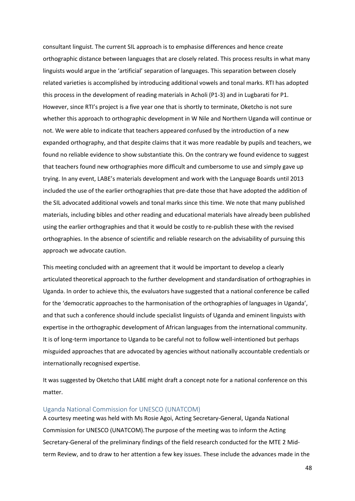consultant linguist. The current SIL approach is to emphasise differences and hence create orthographic distance between languages that are closely related. This process results in what many linguists would argue in the 'artificial' separation of languages. This separation between closely related varieties is accomplished by introducing additional vowels and tonal marks. RTI has adopted this process in the development of reading materials in Acholi (P1-3) and in Lugbarati for P1. However, since RTI's project is a five year one that is shortly to terminate, Oketcho is not sure whether this approach to orthographic development in W Nile and Northern Uganda will continue or not. We were able to indicate that teachers appeared confused by the introduction of a new expanded orthography, and that despite claims that it was more readable by pupils and teachers, we found no reliable evidence to show substantiate this. On the contrary we found evidence to suggest that teachers found new orthographies more difficult and cumbersome to use and simply gave up trying. In any event, LABE's materials development and work with the Language Boards until 2013 included the use of the earlier orthographies that pre-date those that have adopted the addition of the SIL advocated additional vowels and tonal marks since this time. We note that many published materials, including bibles and other reading and educational materials have already been published using the earlier orthographies and that it would be costly to re-publish these with the revised orthographies. In the absence of scientific and reliable research on the advisability of pursuing this approach we advocate caution.

This meeting concluded with an agreement that it would be important to develop a clearly articulated theoretical approach to the further development and standardisation of orthographies in Uganda. In order to achieve this, the evaluators have suggested that a national conference be called for the 'democratic approaches to the harmonisation of the orthographies of languages in Uganda', and that such a conference should include specialist linguists of Uganda and eminent linguists with expertise in the orthographic development of African languages from the international community. It is of long-term importance to Uganda to be careful not to follow well-intentioned but perhaps misguided approaches that are advocated by agencies without nationally accountable credentials or internationally recognised expertise.

It was suggested by Oketcho that LABE might draft a concept note for a national conference on this matter.

#### <span id="page-47-0"></span>Uganda National Commission for UNESCO (UNATCOM)

A courtesy meeting was held with Ms Rosie Agoi, Acting Secretary-General, Uganda National Commission for UNESCO (UNATCOM).The purpose of the meeting was to inform the Acting Secretary-General of the preliminary findings of the field research conducted for the MTE 2 Midterm Review, and to draw to her attention a few key issues. These include the advances made in the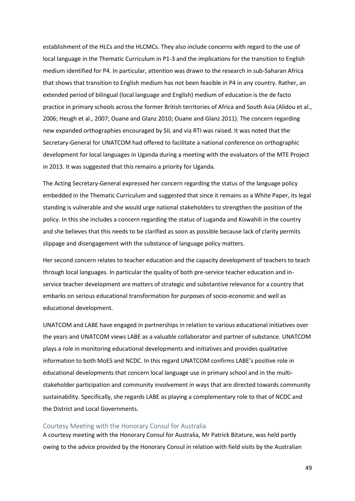establishment of the HLCs and the HLCMCs. They also include concerns with regard to the use of local language in the Thematic Curriculum in P1-3 and the implications for the transition to English medium identified for P4. In particular, attention was drawn to the research in sub-Saharan Africa that shows that transition to English medium has not been feasible in P4 in any country. Rather, an extended period of bilingual (local language and English) medium of education is the de facto practice in primary schools across the former British territories of Africa and South Asia (Alidou et al., 2006; Heugh et al., 2007; Ouane and Glanz 2010; Ouane and Glanz 2011). The concern regarding new expanded orthographies encouraged by SIL and via RTI was raised. It was noted that the Secretary-General for UNATCOM had offered to facilitate a national conference on orthographic development for local languages in Uganda during a meeting with the evaluators of the MTE Project in 2013. It was suggested that this remains a priority for Uganda.

The Acting Secretary-General expressed her concern regarding the status of the language policy embedded in the Thematic Curriculum and suggested that since it remains as a White Paper, its legal standing is vulnerable and she would urge national stakeholders to strengthen the position of the policy. In this she includes a concern regarding the status of Luganda and Kiswahili in the country and she believes that this needs to be clarified as soon as possible because lack of clarity permits slippage and disengagement with the substance of language policy matters.

Her second concern relates to teacher education and the capacity development of teachers to teach through local languages. In particular the quality of both pre-service teacher education and inservice teacher development are matters of strategic and substantive relevance for a country that embarks on serious educational transformation for purposes of socio-economic and well as educational development.

UNATCOM and LABE have engaged in partnerships in relation to various educational initiatives over the years and UNATCOM views LABE as a valuable collaborator and partner of substance. UNATCOM plays a role in monitoring educational developments and initiatives and provides qualitative information to both MoES and NCDC. In this regard UNATCOM confirms LABE's positive role in educational developments that concern local language use in primary school and in the multistakeholder participation and community involvement in ways that are directed towards community sustainability. Specifically, she regards LABE as playing a complementary role to that of NCDC and the District and Local Governments.

#### <span id="page-48-0"></span>Courtesy Meeting with the Honorary Consul for Australia

A courtesy meeting with the Honorary Consul for Australia, Mr Patrick Bitature, was held partly owing to the advice provided by the Honorary Consul in relation with field visits by the Australian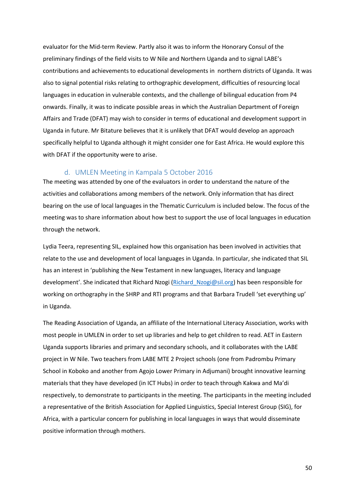evaluator for the Mid-term Review. Partly also it was to inform the Honorary Consul of the preliminary findings of the field visits to W Nile and Northern Uganda and to signal LABE's contributions and achievements to educational developments in northern districts of Uganda. It was also to signal potential risks relating to orthographic development, difficulties of resourcing local languages in education in vulnerable contexts, and the challenge of bilingual education from P4 onwards. Finally, it was to indicate possible areas in which the Australian Department of Foreign Affairs and Trade (DFAT) may wish to consider in terms of educational and development support in Uganda in future. Mr Bitature believes that it is unlikely that DFAT would develop an approach specifically helpful to Uganda although it might consider one for East Africa. He would explore this with DFAT if the opportunity were to arise.

#### d. UMLEN Meeting in Kampala 5 October 2016

<span id="page-49-0"></span>The meeting was attended by one of the evaluators in order to understand the nature of the activities and collaborations among members of the network. Only information that has direct bearing on the use of local languages in the Thematic Curriculum is included below. The focus of the meeting was to share information about how best to support the use of local languages in education through the network.

Lydia Teera, representing SIL, explained how this organisation has been involved in activities that relate to the use and development of local languages in Uganda. In particular, she indicated that SIL has an interest in 'publishing the New Testament in new languages, literacy and language development'. She indicated that Richard Nzogi (Richard Nzogi@sil.org) has been responsible for working on orthography in the SHRP and RTI programs and that Barbara Trudell 'set everything up' in Uganda.

The Reading Association of Uganda, an affiliate of the International Literacy Association, works with most people in UMLEN in order to set up libraries and help to get children to read. AET in Eastern Uganda supports libraries and primary and secondary schools, and it collaborates with the LABE project in W Nile. Two teachers from LABE MTE 2 Project schools (one from Padrombu Primary School in Koboko and another from Agojo Lower Primary in Adjumani) brought innovative learning materials that they have developed (in ICT Hubs) in order to teach through Kakwa and Ma'di respectively, to demonstrate to participants in the meeting. The participants in the meeting included a representative of the British Association for Applied Linguistics, Special Interest Group (SIG), for Africa, with a particular concern for publishing in local languages in ways that would disseminate positive information through mothers.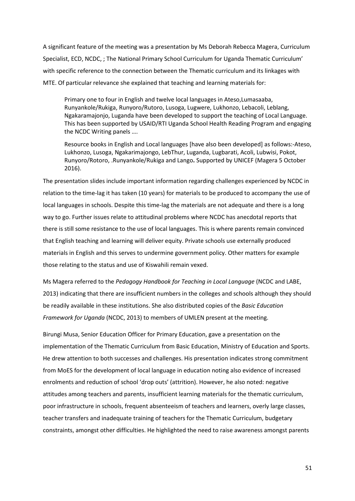A significant feature of the meeting was a presentation by Ms Deborah Rebecca Magera, Curriculum Specialist, ECD, NCDC, ; The National Primary School Curriculum for Uganda Thematic Curriculum' with specific reference to the connection between the Thematic curriculum and its linkages with MTE. Of particular relevance she explained that teaching and learning materials for:

Primary one to four in English and twelve local languages in Ateso,Lumasaaba, Runyankole/Rukiga, Runyoro/Rutoro, Lusoga, Lugwere, Lukhonzo, Lebacoli, Leblang, Ngakaramajonjo, Luganda have been developed to support the teaching of Local Language. This has been supported by USAID/RTI Uganda School Health Reading Program and engaging the NCDC Writing panels ….

Resource books in English and Local languages [have also been developed] as follows:-Ateso, Lukhonzo, Lusoga, Ngakarimajongo, LebThur, Luganda, Lugbarati, Acoli, Lubwisi, Pokot, Runyoro/Rotoro, .Runyankole/Rukiga and Lango**.** Supported by UNICEF (Magera 5 October 2016).

The presentation slides include important information regarding challenges experienced by NCDC in relation to the time-lag it has taken (10 years) for materials to be produced to accompany the use of local languages in schools. Despite this time-lag the materials are not adequate and there is a long way to go. Further issues relate to attitudinal problems where NCDC has anecdotal reports that there is still some resistance to the use of local languages. This is where parents remain convinced that English teaching and learning will deliver equity. Private schools use externally produced materials in English and this serves to undermine government policy. Other matters for example those relating to the status and use of Kiswahili remain vexed.

Ms Magera referred to the *Pedagogy Handbook for Teaching in Local Language* (NCDC and LABE, 2013) indicating that there are insufficient numbers in the colleges and schools although they should be readily available in these institutions. She also distributed copies of the *Basic Education Framework for Uganda* (NCDC, 2013) to members of UMLEN present at the meeting.

Birungi Musa, Senior Education Officer for Primary Education, gave a presentation on the implementation of the Thematic Curriculum from Basic Education, Ministry of Education and Sports. He drew attention to both successes and challenges. His presentation indicates strong commitment from MoES for the development of local language in education noting also evidence of increased enrolments and reduction of school 'drop outs' (attrition). However, he also noted: negative attitudes among teachers and parents, insufficient learning materials for the thematic curriculum, poor infrastructure in schools, frequent absenteeism of teachers and learners, overly large classes, teacher transfers and inadequate training of teachers for the Thematic Curriculum, budgetary constraints, amongst other difficulties. He highlighted the need to raise awareness amongst parents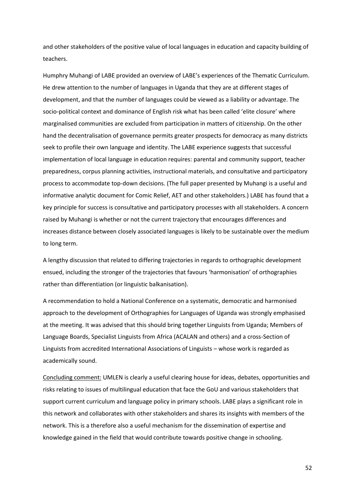and other stakeholders of the positive value of local languages in education and capacity building of teachers.

Humphry Muhangi of LABE provided an overview of LABE's experiences of the Thematic Curriculum. He drew attention to the number of languages in Uganda that they are at different stages of development, and that the number of languages could be viewed as a liability or advantage. The socio-political context and dominance of English risk what has been called 'elite closure' where marginalised communities are excluded from participation in matters of citizenship. On the other hand the decentralisation of governance permits greater prospects for democracy as many districts seek to profile their own language and identity. The LABE experience suggests that successful implementation of local language in education requires: parental and community support, teacher preparedness, corpus planning activities, instructional materials, and consultative and participatory process to accommodate top-down decisions. (The full paper presented by Muhangi is a useful and informative analytic document for Comic Relief, AET and other stakeholders.) LABE has found that a key principle for success is consultative and participatory processes with all stakeholders. A concern raised by Muhangi is whether or not the current trajectory that encourages differences and increases distance between closely associated languages is likely to be sustainable over the medium to long term.

A lengthy discussion that related to differing trajectories in regards to orthographic development ensued, including the stronger of the trajectories that favours 'harmonisation' of orthographies rather than differentiation (or linguistic balkanisation).

A recommendation to hold a National Conference on a systematic, democratic and harmonised approach to the development of Orthographies for Languages of Uganda was strongly emphasised at the meeting. It was advised that this should bring together Linguists from Uganda; Members of Language Boards, Specialist Linguists from Africa (ACALAN and others) and a cross-Section of Linguists from accredited International Associations of Linguists – whose work is regarded as academically sound.

Concluding comment: UMLEN is clearly a useful clearing house for ideas, debates, opportunities and risks relating to issues of multilingual education that face the GoU and various stakeholders that support current curriculum and language policy in primary schools. LABE plays a significant role in this network and collaborates with other stakeholders and shares its insights with members of the network. This is a therefore also a useful mechanism for the dissemination of expertise and knowledge gained in the field that would contribute towards positive change in schooling.

52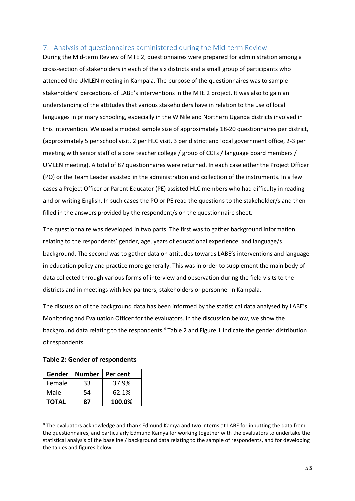## <span id="page-52-0"></span>7. Analysis of questionnaires administered during the Mid-term Review

During the Mid-term Review of MTE 2, questionnaires were prepared for administration among a cross-section of stakeholders in each of the six districts and a small group of participants who attended the UMLEN meeting in Kampala. The purpose of the questionnaires was to sample stakeholders' perceptions of LABE's interventions in the MTE 2 project. It was also to gain an understanding of the attitudes that various stakeholders have in relation to the use of local languages in primary schooling, especially in the W Nile and Northern Uganda districts involved in this intervention. We used a modest sample size of approximately 18-20 questionnaires per district, (approximately 5 per school visit, 2 per HLC visit, 3 per district and local government office, 2-3 per meeting with senior staff of a core teacher college / group of CCTs / language board members / UMLEN meeting). A total of 87 questionnaires were returned. In each case either the Project Officer (PO) or the Team Leader assisted in the administration and collection of the instruments. In a few cases a Project Officer or Parent Educator (PE) assisted HLC members who had difficulty in reading and or writing English. In such cases the PO or PE read the questions to the stakeholder/s and then filled in the answers provided by the respondent/s on the questionnaire sheet.

The questionnaire was developed in two parts. The first was to gather background information relating to the respondents' gender, age, years of educational experience, and language/s background. The second was to gather data on attitudes towards LABE's interventions and language in education policy and practice more generally. This was in order to supplement the main body of data collected through various forms of interview and observation during the field visits to the districts and in meetings with key partners, stakeholders or personnel in Kampala.

The discussion of the background data has been informed by the statistical data analysed by LABE's Monitoring and Evaluation Officer for the evaluators. In the discussion below, we show the background data relating to the respondents.<sup>4</sup> Table 2 and Figure 1 indicate the gender distribution of respondents.

| Gender       | <b>Number</b> | Per cent |
|--------------|---------------|----------|
| Female       | 33            | 37.9%    |
| Male         | 54            | 62.1%    |
| <b>TOTAL</b> | 87            | 100.0%   |

 $\overline{\phantom{a}}$ 

**Table 2: Gender of respondents**

<sup>4</sup> The evaluators acknowledge and thank Edmund Kamya and two interns at LABE for inputting the data from the questionnaires, and particularly Edmund Kamya for working together with the evaluators to undertake the statistical analysis of the baseline / background data relating to the sample of respondents, and for developing the tables and figures below.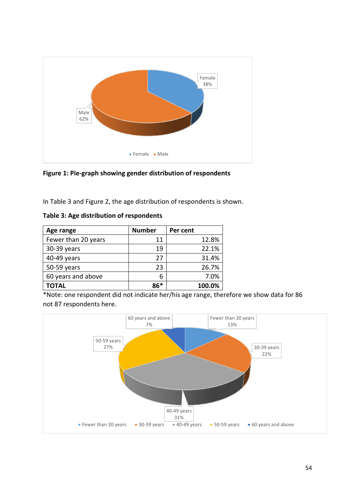

**Figure 1: Pie-graph showing gender distribution of respondents**

In Table 3 and Figure 2, the age distribution of respondents is shown.

|  |  |  |  | Table 3: Age distribution of respondents |
|--|--|--|--|------------------------------------------|
|--|--|--|--|------------------------------------------|

| Age range           | <b>Number</b> | Per cent |
|---------------------|---------------|----------|
| Fewer than 20 years | 11            | 12.8%    |
| 30-39 years         | 19            | 22.1%    |
| 40-49 years         | 27            | 31.4%    |
| 50-59 years         | 23            | 26.7%    |
| 60 years and above  | 6             | 7.0%     |
| TOTAL               | ጸ6*           | 100.0%   |

\*Note: one respondent did not indicate her/his age range, therefore we show data for 86 not 87 respondents here.

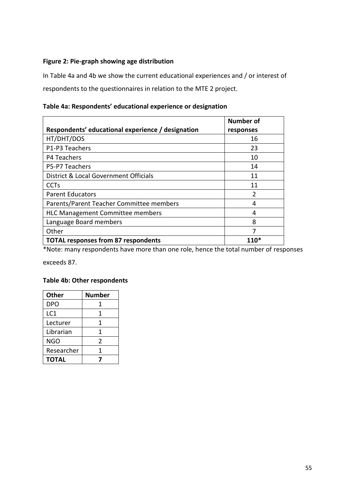# **Figure 2: Pie-graph showing age distribution**

In Table 4a and 4b we show the current educational experiences and / or interest of respondents to the questionnaires in relation to the MTE 2 project.

| Table 4a: Respondents' educational experience or designation |  |  |  |
|--------------------------------------------------------------|--|--|--|
|--------------------------------------------------------------|--|--|--|

|                                                   | <b>Number of</b> |
|---------------------------------------------------|------------------|
| Respondents' educational experience / designation | responses        |
| HT/DHT/DOS                                        | 16               |
| P1-P3 Teachers                                    | 23               |
| P4 Teachers                                       | 10               |
| P5-P7 Teachers                                    | 14               |
| District & Local Government Officials             | 11               |
| <b>CCT<sub>S</sub></b>                            | 11               |
| <b>Parent Educators</b>                           | $\mathfrak{p}$   |
| Parents/Parent Teacher Committee members          | 4                |
| <b>HLC Management Committee members</b>           | 4                |
| Language Board members                            | 8                |
| Other                                             |                  |
| <b>TOTAL responses from 87 respondents</b>        |                  |

\*Note: many respondents have more than one role, hence the total number of responses

exceeds 87.

# **Table 4b: Other respondents**

| <b>Other</b> | Number        |
|--------------|---------------|
| DPO          | 1             |
| LC1          | 1             |
| Lecturer     | 1             |
| Librarian    | 1             |
| <b>NGO</b>   | $\mathfrak z$ |
| Researcher   | 1             |
| TOTAL        |               |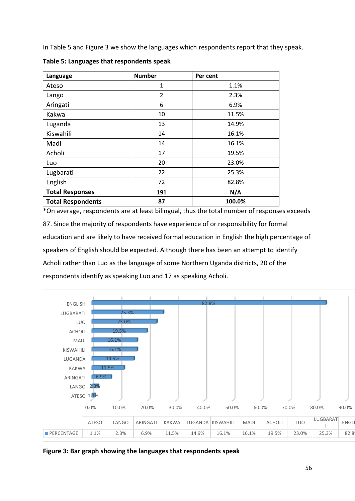In Table 5 and Figure 3 we show the languages which respondents report that they speak.

| Language                 | <b>Number</b>  | Per cent |
|--------------------------|----------------|----------|
| Ateso                    | 1              | 1.1%     |
| Lango                    | $\overline{2}$ | 2.3%     |
| Aringati                 | 6              | 6.9%     |
| Kakwa                    | 10             | 11.5%    |
| Luganda                  | 13             | 14.9%    |
| Kiswahili                | 14             | 16.1%    |
| Madi                     | 14             | 16.1%    |
| Acholi                   | 17             | 19.5%    |
| Luo                      | 20             | 23.0%    |
| Lugbarati                | 22             | 25.3%    |
| English                  | 72             | 82.8%    |
| <b>Total Responses</b>   | 191            | N/A      |
| <b>Total Respondents</b> | 87             | 100.0%   |

**Table 5: Languages that respondents speak** 

\*On average, respondents are at least bilingual, thus the total number of responses exceeds 87. Since the majority of respondents have experience of or responsibility for formal education and are likely to have received formal education in English the high percentage of speakers of English should be expected. Although there has been an attempt to identify Acholi rather than Luo as the language of some Northern Uganda districts, 20 of the respondents identify as speaking Luo and 17 as speaking Acholi.



**Figure 3: Bar graph showing the languages that respondents speak**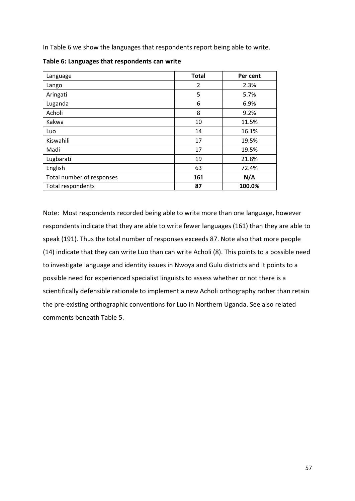In Table 6 we show the languages that respondents report being able to write.

| Language                  | <b>Total</b> | Per cent |
|---------------------------|--------------|----------|
| Lango                     | 2            | 2.3%     |
| Aringati                  | 5            | 5.7%     |
| Luganda                   | 6            | 6.9%     |
| Acholi                    | 8            | 9.2%     |
| Kakwa                     | 10           | 11.5%    |
| Luo                       | 14           | 16.1%    |
| Kiswahili                 | 17           | 19.5%    |
| Madi                      | 17           | 19.5%    |
| Lugbarati                 | 19           | 21.8%    |
| English                   | 63           | 72.4%    |
| Total number of responses | 161          | N/A      |
| Total respondents         | 87           | 100.0%   |

**Table 6: Languages that respondents can write** 

Note: Most respondents recorded being able to write more than one language, however respondents indicate that they are able to write fewer languages (161) than they are able to speak (191). Thus the total number of responses exceeds 87. Note also that more people (14) indicate that they can write Luo than can write Acholi (8). This points to a possible need to investigate language and identity issues in Nwoya and Gulu districts and it points to a possible need for experienced specialist linguists to assess whether or not there is a scientifically defensible rationale to implement a new Acholi orthography rather than retain the pre-existing orthographic conventions for Luo in Northern Uganda. See also related comments beneath Table 5.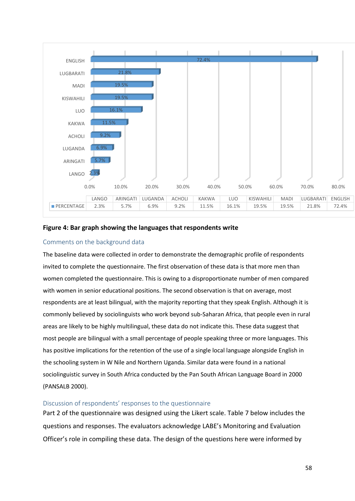

### **Figure 4: Bar graph showing the languages that respondents write**

## <span id="page-57-0"></span>Comments on the background data

The baseline data were collected in order to demonstrate the demographic profile of respondents invited to complete the questionnaire. The first observation of these data is that more men than women completed the questionnaire. This is owing to a disproportionate number of men compared with women in senior educational positions. The second observation is that on average, most respondents are at least bilingual, with the majority reporting that they speak English. Although it is commonly believed by sociolinguists who work beyond sub-Saharan Africa, that people even in rural areas are likely to be highly multilingual, these data do not indicate this. These data suggest that most people are bilingual with a small percentage of people speaking three or more languages. This has positive implications for the retention of the use of a single local language alongside English in the schooling system in W Nile and Northern Uganda. Similar data were found in a national sociolinguistic survey in South Africa conducted by the Pan South African Language Board in 2000 (PANSALB 2000).

#### <span id="page-57-1"></span>Discussion of respondents' responses to the questionnaire

Part 2 of the questionnaire was designed using the Likert scale. Table 7 below includes the questions and responses. The evaluators acknowledge LABE's Monitoring and Evaluation Officer's role in compiling these data. The design of the questions here were informed by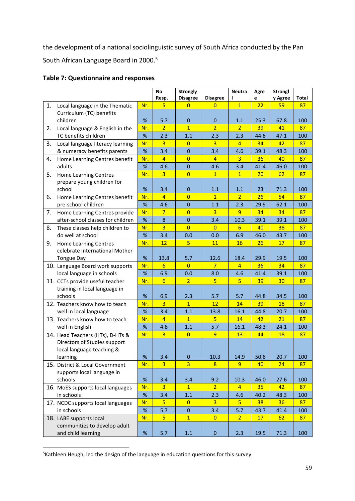the development of a national sociolinguistic survey of South Africa conducted by the Pan South African Language Board in 2000.<sup>5</sup>

|  | <b>Table 7: Questionnaire and responses</b> |  |
|--|---------------------------------------------|--|
|--|---------------------------------------------|--|

|    |                                                   |      | No<br>Resp.    | <b>Strongly</b><br><b>Disagree</b> | <b>Disagree</b> | <b>Neutra</b>          | Agre<br>e  | <b>Strongl</b><br>y Agree | <b>Total</b> |
|----|---------------------------------------------------|------|----------------|------------------------------------|-----------------|------------------------|------------|---------------------------|--------------|
| 1. | Local language in the Thematic                    | Nr.  | 5              | $\overline{0}$                     | $\overline{0}$  | $\overline{1}$         | 22         | 59                        | 87           |
|    | Curriculum (TC) benefits                          |      |                |                                    |                 |                        |            |                           |              |
|    | children                                          | %    | 5.7            | $\mathbf{0}$                       | $\overline{0}$  | 1.1                    | 25.3       | 67.8                      | 100          |
| 2. | Local language & English in the                   | Nr.  | $\overline{2}$ | $\overline{1}$                     | $\overline{2}$  | $\overline{2}$         | 39         | 41                        | 87           |
|    | TC benefits children                              | $\%$ | 2.3            | 1.1                                | 2.3             | 2.3                    | 44.8       | 47.1                      | 100          |
| 3. | Local language literacy learning                  | Nr.  | $\overline{3}$ | $\overline{0}$                     | $\overline{3}$  | $\overline{4}$         | 34         | 42                        | 87           |
|    | & numeracy benefits parents                       | $\%$ | 3.4            | $\mathbf 0$                        | 3.4             | 4.6                    | 39.1       | 48.3                      | 100          |
| 4. | Home Learning Centres benefit                     | Nr.  | $\overline{4}$ | $\overline{0}$                     | $\overline{4}$  | $\overline{3}$         | 36         | 40                        | 87           |
|    | adults                                            | $\%$ | 4.6            | $\mathbf{0}$                       | 4.6             | 3.4                    | 41.4       | 46.0                      | 100          |
| 5. | <b>Home Learning Centres</b>                      | Nr.  | $\overline{3}$ | $\overline{0}$                     | $\overline{1}$  | $\mathbf{1}$           | 20         | 62                        | 87           |
|    | prepare young children for                        |      |                |                                    |                 |                        |            |                           |              |
|    | school                                            | $\%$ | 3.4            | $\mathbf 0$                        | 1.1             | 1.1                    | 23         | 71.3                      | 100          |
| 6. | Home Learning Centres benefit                     | Nr.  | $\overline{4}$ | $\overline{0}$                     | $\overline{1}$  | 2 <sup>1</sup>         | 26         | 54                        | 87           |
|    | pre-school children                               | $\%$ | 4.6            | $\mathbf 0$                        | 1.1             | 2.3                    | 29.9       | 62.1                      | 100          |
| 7. | Home Learning Centres provide                     | Nr.  | $7\phantom{.}$ | $\overline{0}$                     | 3               | 9                      | 34         | 34                        | 87           |
|    | after-school classes for children                 | %    | 8              | $\mathbf{0}$                       | 3.4             | 10.3                   | 39.1       | 39.1                      | 100          |
| 8. | These classes help children to                    | Nr.  | $\overline{3}$ | $\overline{0}$                     | $\overline{0}$  | 6                      | 40         | 38                        | 87           |
|    | do well at school                                 | $\%$ | 3.4            | 0.0                                | 0.0             | 6.9                    | 46.0       | 43.7                      | 100          |
| 9. | <b>Home Learning Centres</b>                      | Nr.  | 12             | $\overline{5}$                     | 11              | 16                     | 26         | 17                        | 87           |
|    | celebrate International Mother                    |      |                |                                    |                 |                        |            |                           |              |
|    | <b>Tongue Day</b>                                 | $\%$ | 13.8           | 5.7                                | 12.6            | 18.4                   | 29.9       | 19.5                      | 100          |
|    | 10. Language Board work supports                  | Nr.  | 6              | $\overline{0}$                     | 7               | $\overline{4}$         | 36         | 34                        | 87           |
|    | local language in schools                         | $\%$ | 6.9            | 0.0                                | 8.0             | 4.6                    | 41.4       | 39.1                      | 100          |
|    | 11. CCTs provide useful teacher                   | Nr.  | $6\overline{}$ | $\overline{2}$                     | $\overline{5}$  | 5 <sup>1</sup>         | 39         | 30                        | 87           |
|    | training in local language in                     |      |                |                                    |                 |                        |            |                           |              |
|    | schools                                           | $\%$ | 6.9            | 2.3                                | 5.7             | 5.7                    | 44.8       | 34.5                      | 100          |
|    | 12. Teachers know how to teach                    | Nr.  | $\overline{3}$ | $\overline{1}$                     | 12              | 14                     | 39         | 18                        | 87           |
|    | well in local language                            | $\%$ | 3.4            | 1.1                                | 13.8            | 16.1                   | 44.8       | 20.7                      | 100          |
|    | 13. Teachers know how to teach<br>well in English | Nr.  | $\overline{4}$ | $\mathbf{1}$                       | 5               | 14                     | 42         | 21                        | 87           |
|    |                                                   | $\%$ | 4.6            | 1.1                                | 5.7             | 16.1                   | 48.3       | 24.1                      | 100          |
|    | 14. Head Teachers (HTs), D-HTs &                  | Nr.  | $\overline{3}$ | $\overline{0}$                     | 9               | 13                     | 44         | 18                        | 87           |
|    | Directors of Studies support                      |      |                |                                    |                 |                        |            |                           |              |
|    | local language teaching &                         | $\%$ | 3.4            |                                    | 10.3            |                        |            | 20.7                      |              |
|    | learning                                          | Nr.  | $\overline{3}$ | $\mathbf 0$<br>$\overline{3}$      | 8               | 14.9<br>$\overline{9}$ | 50.6<br>40 | 24                        | 100<br>87    |
|    | 15. District & Local Government                   |      |                |                                    |                 |                        |            |                           |              |
|    | supports local language in<br>schools             | $\%$ | 3.4            | 3.4                                | 9.2             | 10.3                   | 46.0       | 27.6                      | 100          |
|    | 16. MoES supports local languages<br>in schools   | Nr.  | 3              | $\mathbf{1}$                       | $\overline{2}$  | $\overline{4}$         | 35         | 42                        | 87           |
|    |                                                   | %    | 3.4            | 1.1                                | 2.3             | 4.6                    | 40.2       | 48.3                      | 100          |
|    | 17. NCDC supports local languages                 | Nr.  | 5 <sub>1</sub> | $\overline{0}$                     | $\overline{3}$  | 5 <sup>1</sup>         | 38         | 36                        | 87           |
|    | in schools                                        | $\%$ | 5.7            | $\mathbf{0}$                       | 3.4             | 5.7                    | 43.7       | 41.4                      | 100          |
|    | 18. LABE supports local                           | Nr.  | $\overline{5}$ | $\mathbf{1}$                       | $\overline{0}$  | 2 <sup>1</sup>         | 17         | 62                        | 87           |
|    | communities to develop adult                      |      |                |                                    |                 |                        |            |                           |              |
|    | and child learning                                | $\%$ | 5.7            | $1.1\,$                            | $\bf{0}$        | 2.3                    | 19.5       | 71.3                      | 100          |
|    |                                                   |      |                |                                    |                 |                        |            |                           |              |

**<sup>.</sup>** <sup>5</sup>Kathleen Heugh, led the design of the language in education questions for this survey.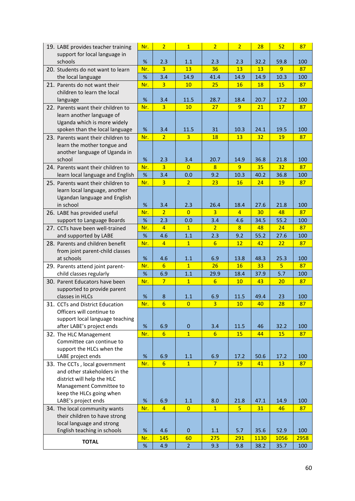| 19. LABE provides teacher training              | Nr.  | $\overline{2}$  | $\overline{1}$ | $\overline{2}$   | $\overline{2}$  | 28              | 52             | 87   |
|-------------------------------------------------|------|-----------------|----------------|------------------|-----------------|-----------------|----------------|------|
| support for local language in                   |      |                 |                |                  |                 |                 |                |      |
| schools                                         | %    | 2.3             | 1.1            | 2.3              | 2.3             | 32.2            | 59.8           | 100  |
| 20. Students do not want to learn               | Nr.  | $\overline{3}$  | 13             | 36               | 13              | 13              | 9              | 87   |
| the local language                              | %    | 3.4             | 14.9           | 41.4             | 14.9            | 14.9            | 10.3           | 100  |
| 21. Parents do not want their                   | Nr.  | $\overline{3}$  | 10             | 25               | 16              | 18              | 15             | 87   |
| children to learn the local                     |      |                 |                |                  |                 |                 |                |      |
| language                                        | %    | 3.4             | 11.5           | 28.7             | 18.4            | 20.7            | 17.2           | 100  |
| 22. Parents want their children to              | Nr.  | 3               | 10             | 27               | 9               | 21              | 17             | 87   |
| learn another language of                       |      |                 |                |                  |                 |                 |                |      |
| Uganda which is more widely                     |      |                 |                |                  |                 |                 |                |      |
| spoken than the local language                  | $\%$ | 3.4             | 11.5           | 31               | 10.3            | 24.1            | 19.5           | 100  |
| 23. Parents want their children to              | Nr.  | $\overline{2}$  | $\overline{3}$ | 18               | 13              | 32              | 19             | 87   |
| learn the mother tongue and                     |      |                 |                |                  |                 |                 |                |      |
| another language of Uganda in                   |      |                 |                |                  |                 |                 |                |      |
| school                                          | $\%$ | 2.3             | 3.4            | 20.7             | 14.9            | 36.8            | 21.8           | 100  |
| 24. Parents want their children to              | Nr.  | $\overline{3}$  | $\Omega$       | 8                | 9               | 35              | 32             | 87   |
| learn local language and English                | $\%$ | 3.4             | 0.0            | 9.2              | 10.3            | 40.2            | 36.8           | 100  |
| 25. Parents want their children to              | Nr.  | 3               | $\overline{2}$ | 23               | 16              | 24              | 19             | 87   |
| learn local language, another                   |      |                 |                |                  |                 |                 |                |      |
| Ugandan language and English                    |      |                 |                |                  |                 |                 |                |      |
| in school                                       | %    | 3.4             | 2.3            | 26.4             | 18.4            | 27.6            | 21.8           | 100  |
| 26. LABE has provided useful                    | Nr.  | $\overline{2}$  | $\overline{0}$ | $\overline{3}$   | $\overline{4}$  | 30              | 48             | 87   |
| support to Language Boards                      | $\%$ | 2.3             | 0.0            | 3.4              | 4.6             | 34.5            | 55.2           | 100  |
| 27. CCTs have been well-trained                 | Nr.  | $\overline{4}$  | $\overline{1}$ | $\overline{2}$   | 8               | 48              | 24             | 87   |
| and supported by LABE                           | $\%$ | 4.6             | 1.1            | 2.3              | 9.2             | 55.2            | 27.6           | 100  |
| 28. Parents and children benefit                | Nr.  | $\overline{4}$  | $\mathbf{1}$   | 6                | 12              | 42              | 22             | 87   |
| from joint parent-child classes                 |      |                 |                |                  |                 |                 |                |      |
| at schools                                      | $\%$ | 4.6             | 1.1            | 6.9              | 13.8            | 48.3            | 25.3           | 100  |
| 29. Parents attend joint parent-                | Nr.  | 6               | $\mathbf{1}$   | 26               | 16              | 33 <sup>2</sup> | 5 <sup>5</sup> | 87   |
| child classes regularly                         | $\%$ | 6.9             | 1.1            | 29.9             | 18.4            | 37.9            | 5.7            | 100  |
| 30. Parent Educators have been                  | Nr.  | $\overline{7}$  | $\mathbf{1}$   | 6                | 10              | 43              | 20             | 87   |
| supported to provide parent                     |      |                 |                |                  |                 |                 |                |      |
| classes in HLCs                                 | %    | 8               | 1.1            | 6.9              | 11.5            | 49.4            | 23             | 100  |
| 31. CCTs and District Education                 | Nr.  | $6\overline{6}$ | $\overline{0}$ | $\overline{3}$   | 10              | 40              | 28             | 87   |
| Officers will continue to                       |      |                 |                |                  |                 |                 |                |      |
| support local language teaching                 |      |                 |                |                  |                 |                 |                |      |
| after LABE's project ends                       | $\%$ | 6.9             | $\pmb{0}$      | 3.4              | 11.5            | 46              | 32.2           | 100  |
| 32. The HLC Management                          | Nr.  | $6\overline{6}$ | $\overline{1}$ | $6 \overline{6}$ | 15              | 44              | 15             | 87   |
| Committee can continue to                       |      |                 |                |                  |                 |                 |                |      |
| support the HLCs when the                       |      |                 |                |                  |                 |                 |                |      |
| LABE project ends                               | $\%$ | 6.9             | 1.1            | 6.9              | 17.2            | 50.6            | 17.2           | 100  |
| 33. The CCTs, local government                  | Nr.  | 6               | $\mathbf{1}$   | $7\overline{ }$  | 19              | 41              | 13             | 87   |
| and other stakeholders in the                   |      |                 |                |                  |                 |                 |                |      |
| district will help the HLC                      |      |                 |                |                  |                 |                 |                |      |
| Management Committee to                         |      |                 |                |                  |                 |                 |                |      |
| keep the HLCs going when<br>LABE's project ends | $\%$ | 6.9             | 1.1            | 8.0              | 21.8            | 47.1            | 14.9           | 100  |
| 34. The local community wants                   | Nr.  | $\overline{4}$  | $\overline{0}$ | $\mathbf{1}$     | $5\overline{)}$ | 31              | 46             | 87   |
| their children to have strong                   |      |                 |                |                  |                 |                 |                |      |
| local language and strong                       |      |                 |                |                  |                 |                 |                |      |
| English teaching in schools                     | $\%$ | 4.6             | $\mathbf{0}$   | 1.1              | 5.7             | 35.6            | 52.9           | 100  |
|                                                 | Nr.  | 145             | 60             | 275              | 291             | 1130            | 1056           | 2958 |
| <b>TOTAL</b>                                    | $\%$ | 4.9             | 2 <sup>1</sup> | 9.3              | 9.8             | 38.2            | 35.7           | 100  |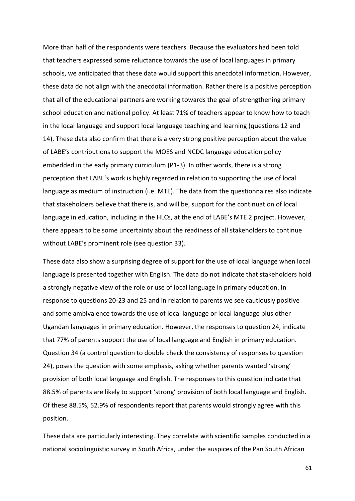More than half of the respondents were teachers. Because the evaluators had been told that teachers expressed some reluctance towards the use of local languages in primary schools, we anticipated that these data would support this anecdotal information. However, these data do not align with the anecdotal information. Rather there is a positive perception that all of the educational partners are working towards the goal of strengthening primary school education and national policy. At least 71% of teachers appear to know how to teach in the local language and support local language teaching and learning (questions 12 and 14). These data also confirm that there is a very strong positive perception about the value of LABE's contributions to support the MOES and NCDC language education policy embedded in the early primary curriculum (P1-3). In other words, there is a strong perception that LABE's work is highly regarded in relation to supporting the use of local language as medium of instruction (i.e. MTE). The data from the questionnaires also indicate that stakeholders believe that there is, and will be, support for the continuation of local language in education, including in the HLCs, at the end of LABE's MTE 2 project. However, there appears to be some uncertainty about the readiness of all stakeholders to continue without LABE's prominent role (see question 33).

These data also show a surprising degree of support for the use of local language when local language is presented together with English. The data do not indicate that stakeholders hold a strongly negative view of the role or use of local language in primary education. In response to questions 20-23 and 25 and in relation to parents we see cautiously positive and some ambivalence towards the use of local language or local language plus other Ugandan languages in primary education. However, the responses to question 24, indicate that 77% of parents support the use of local language and English in primary education. Question 34 (a control question to double check the consistency of responses to question 24), poses the question with some emphasis, asking whether parents wanted 'strong' provision of both local language and English. The responses to this question indicate that 88.5% of parents are likely to support 'strong' provision of both local language and English. Of these 88.5%, 52.9% of respondents report that parents would strongly agree with this position.

These data are particularly interesting. They correlate with scientific samples conducted in a national sociolinguistic survey in South Africa, under the auspices of the Pan South African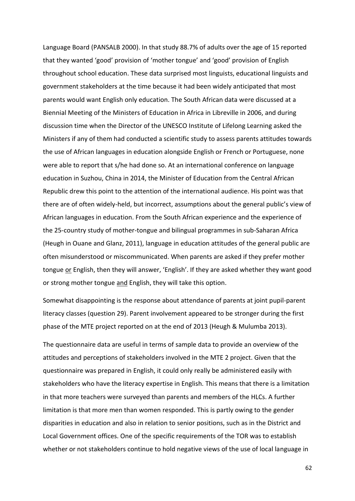Language Board (PANSALB 2000). In that study 88.7% of adults over the age of 15 reported that they wanted 'good' provision of 'mother tongue' and 'good' provision of English throughout school education. These data surprised most linguists, educational linguists and government stakeholders at the time because it had been widely anticipated that most parents would want English only education. The South African data were discussed at a Biennial Meeting of the Ministers of Education in Africa in Libreville in 2006, and during discussion time when the Director of the UNESCO Institute of Lifelong Learning asked the Ministers if any of them had conducted a scientific study to assess parents attitudes towards the use of African languages in education alongside English or French or Portuguese, none were able to report that s/he had done so. At an international conference on language education in Suzhou, China in 2014, the Minister of Education from the Central African Republic drew this point to the attention of the international audience. His point was that there are of often widely-held, but incorrect, assumptions about the general public's view of African languages in education. From the South African experience and the experience of the 25-country study of mother-tongue and bilingual programmes in sub-Saharan Africa (Heugh in Ouane and Glanz, 2011), language in education attitudes of the general public are often misunderstood or miscommunicated. When parents are asked if they prefer mother tongue or English, then they will answer, 'English'. If they are asked whether they want good or strong mother tongue and English, they will take this option.

Somewhat disappointing is the response about attendance of parents at joint pupil-parent literacy classes (question 29). Parent involvement appeared to be stronger during the first phase of the MTE project reported on at the end of 2013 (Heugh & Mulumba 2013).

The questionnaire data are useful in terms of sample data to provide an overview of the attitudes and perceptions of stakeholders involved in the MTE 2 project. Given that the questionnaire was prepared in English, it could only really be administered easily with stakeholders who have the literacy expertise in English. This means that there is a limitation in that more teachers were surveyed than parents and members of the HLCs. A further limitation is that more men than women responded. This is partly owing to the gender disparities in education and also in relation to senior positions, such as in the District and Local Government offices. One of the specific requirements of the TOR was to establish whether or not stakeholders continue to hold negative views of the use of local language in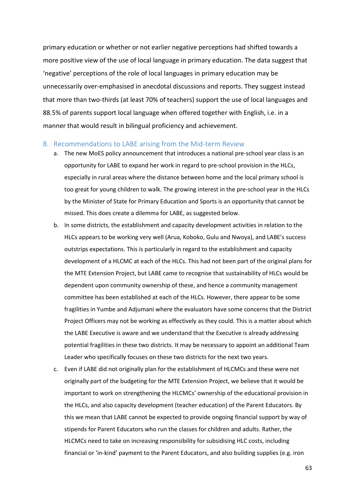primary education or whether or not earlier negative perceptions had shifted towards a more positive view of the use of local language in primary education. The data suggest that 'negative' perceptions of the role of local languages in primary education may be unnecessarily over-emphasised in anecdotal discussions and reports. They suggest instead that more than two-thirds (at least 70% of teachers) support the use of local languages and 88.5% of parents support local language when offered together with English, i.e. in a manner that would result in bilingual proficiency and achievement.

#### <span id="page-62-0"></span>8. Recommendations to LABE arising from the Mid-term Review

- a. The new MoES policy announcement that introduces a national pre-school year class is an opportunity for LABE to expand her work in regard to pre-school provision in the HLCs, especially in rural areas where the distance between home and the local primary school is too great for young children to walk. The growing interest in the pre-school year in the HLCs by the Minister of State for Primary Education and Sports is an opportunity that cannot be missed. This does create a dilemma for LABE, as suggested below.
- b. In some districts, the establishment and capacity development activities in relation to the HLCs appears to be working very well (Arua, Koboko, Gulu and Nwoya), and LABE's success outstrips expectations. This is particularly in regard to the establishment and capacity development of a HLCMC at each of the HLCs. This had not been part of the original plans for the MTE Extension Project, but LABE came to recognise that sustainability of HLCs would be dependent upon community ownership of these, and hence a community management committee has been established at each of the HLCs. However, there appear to be some fragilities in Yumbe and Adjumani where the evaluators have some concerns that the District Project Officers may not be working as effectively as they could. This is a matter about which the LABE Executive is aware and we understand that the Executive is already addressing potential fragilities in these two districts. It may be necessary to appoint an additional Team Leader who specifically focuses on these two districts for the next two years.
- c. Even if LABE did not originally plan for the establishment of HLCMCs and these were not originally part of the budgeting for the MTE Extension Project, we believe that it would be important to work on strengthening the HLCMCs' ownership of the educational provision in the HLCs, and also capacity development (teacher education) of the Parent Educators. By this we mean that LABE cannot be expected to provide ongoing financial support by way of stipends for Parent Educators who run the classes for children and adults. Rather, the HLCMCs need to take on increasing responsibility for subsidising HLC costs, including financial or 'in-kind' payment to the Parent Educators, and also building supplies (e.g. iron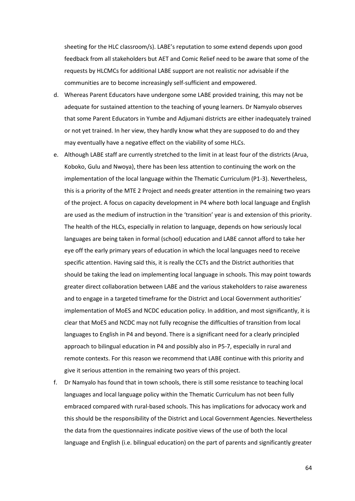sheeting for the HLC classroom/s). LABE's reputation to some extend depends upon good feedback from all stakeholders but AET and Comic Relief need to be aware that some of the requests by HLCMCs for additional LABE support are not realistic nor advisable if the communities are to become increasingly self-sufficient and empowered.

- d. Whereas Parent Educators have undergone some LABE provided training, this may not be adequate for sustained attention to the teaching of young learners. Dr Namyalo observes that some Parent Educators in Yumbe and Adjumani districts are either inadequately trained or not yet trained. In her view, they hardly know what they are supposed to do and they may eventually have a negative effect on the viability of some HLCs.
- e. Although LABE staff are currently stretched to the limit in at least four of the districts (Arua, Koboko, Gulu and Nwoya), there has been less attention to continuing the work on the implementation of the local language within the Thematic Curriculum (P1-3). Nevertheless, this is a priority of the MTE 2 Project and needs greater attention in the remaining two years of the project. A focus on capacity development in P4 where both local language and English are used as the medium of instruction in the 'transition' year is and extension of this priority. The health of the HLCs, especially in relation to language, depends on how seriously local languages are being taken in formal (school) education and LABE cannot afford to take her eye off the early primary years of education in which the local languages need to receive specific attention. Having said this, it is really the CCTs and the District authorities that should be taking the lead on implementing local language in schools. This may point towards greater direct collaboration between LABE and the various stakeholders to raise awareness and to engage in a targeted timeframe for the District and Local Government authorities' implementation of MoES and NCDC education policy. In addition, and most significantly, it is clear that MoES and NCDC may not fully recognise the difficulties of transition from local languages to English in P4 and beyond. There is a significant need for a clearly principled approach to bilingual education in P4 and possibly also in P5-7, especially in rural and remote contexts. For this reason we recommend that LABE continue with this priority and give it serious attention in the remaining two years of this project.
- f. Dr Namyalo has found that in town schools, there is still some resistance to teaching local languages and local language policy within the Thematic Curriculum has not been fully embraced compared with rural-based schools. This has implications for advocacy work and this should be the responsibility of the District and Local Government Agencies. Nevertheless the data from the questionnaires indicate positive views of the use of both the local language and English (i.e. bilingual education) on the part of parents and significantly greater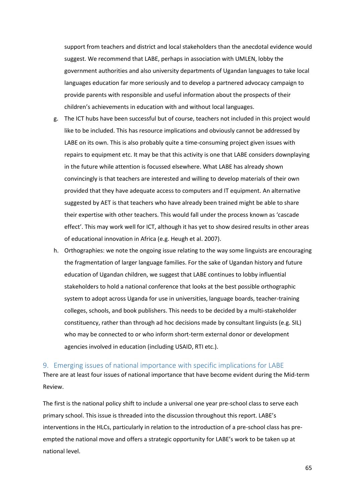support from teachers and district and local stakeholders than the anecdotal evidence would suggest. We recommend that LABE, perhaps in association with UMLEN, lobby the government authorities and also university departments of Ugandan languages to take local languages education far more seriously and to develop a partnered advocacy campaign to provide parents with responsible and useful information about the prospects of their children's achievements in education with and without local languages.

- g. The ICT hubs have been successful but of course, teachers not included in this project would like to be included. This has resource implications and obviously cannot be addressed by LABE on its own. This is also probably quite a time-consuming project given issues with repairs to equipment etc. It may be that this activity is one that LABE considers downplaying in the future while attention is focussed elsewhere. What LABE has already shown convincingly is that teachers are interested and willing to develop materials of their own provided that they have adequate access to computers and IT equipment. An alternative suggested by AET is that teachers who have already been trained might be able to share their expertise with other teachers. This would fall under the process known as 'cascade effect'. This may work well for ICT, although it has yet to show desired results in other areas of educational innovation in Africa (e.g. Heugh et al. 2007).
- h. Orthographies: we note the ongoing issue relating to the way some linguists are encouraging the fragmentation of larger language families. For the sake of Ugandan history and future education of Ugandan children, we suggest that LABE continues to lobby influential stakeholders to hold a national conference that looks at the best possible orthographic system to adopt across Uganda for use in universities, language boards, teacher-training colleges, schools, and book publishers. This needs to be decided by a multi-stakeholder constituency, rather than through ad hoc decisions made by consultant linguists (e.g. SIL) who may be connected to or who inform short-term external donor or development agencies involved in education (including USAID, RTI etc.).

#### <span id="page-64-0"></span>9. Emerging issues of national importance with specific implications for LABE

There are at least four issues of national importance that have become evident during the Mid-term Review.

The first is the national policy shift to include a universal one year pre-school class to serve each primary school. This issue is threaded into the discussion throughout this report. LABE's interventions in the HLCs, particularly in relation to the introduction of a pre-school class has preempted the national move and offers a strategic opportunity for LABE's work to be taken up at national level.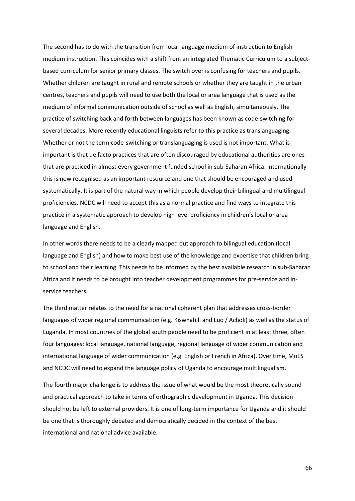The second has to do with the transition from local language medium of instruction to English medium instruction. This coincides with a shift from an integrated Thematic Curriculum to a subjectbased curriculum for senior primary classes. The switch over is confusing for teachers and pupils. Whether children are taught in rural and remote schools or whether they are taught in the urban centres, teachers and pupils will need to use both the local or area language that is used as the medium of informal communication outside of school as well as English, simultaneously. The practice of switching back and forth between languages has been known as code-switching for several decades. More recently educational linguists refer to this practice as translanguaging. Whether or not the term code-switching or translanguaging is used is not important. What is important is that de facto practices that are often discouraged by educational authorities are ones that are practiced in almost every government funded school in sub-Saharan Africa. Internationally this is now recognised as an important resource and one that should be encouraged and used systematically. It is part of the natural way in which people develop their bilingual and multilingual proficiencies. NCDC will need to accept this as a normal practice and find ways to integrate this practice in a systematic approach to develop high level proficiency in children's local or area language and English.

In other words there needs to be a clearly mapped out approach to bilingual education (local language and English) and how to make best use of the knowledge and expertise that children bring to school and their learning. This needs to be informed by the best available research in sub-Saharan Africa and it needs to be brought into teacher development programmes for pre-service and inservice teachers.

The third matter relates to the need for a national coherent plan that addresses cross-border languages of wider regional communication (e.g. Kiswhahili and Luo / Acholi) as well as the status of Luganda. In most countries of the global south people need to be proficient in at least three, often four languages: local language, national language, regional language of wider communication and international language of wider communication (e.g. English or French in Africa). Over time, MoES and NCDC will need to expand the language policy of Uganda to encourage multilingualism.

The fourth major challenge is to address the issue of what would be the most theoretically sound and practical approach to take in terms of orthographic development in Uganda. This decision should not be left to external providers. It is one of long-term importance for Uganda and it should be one that is thoroughly debated and democratically decided in the context of the best international and national advice available.

66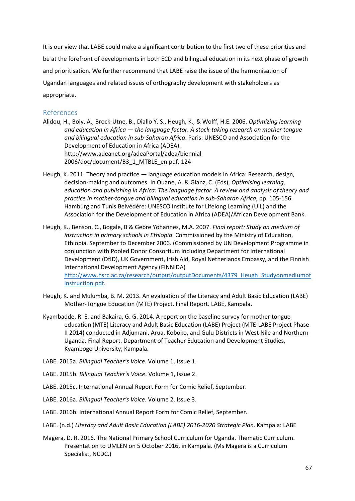It is our view that LABE could make a significant contribution to the first two of these priorities and be at the forefront of developments in both ECD and bilingual education in its next phase of growth and prioritisation. We further recommend that LABE raise the issue of the harmonisation of Ugandan languages and related issues of orthography development with stakeholders as appropriate.

## <span id="page-66-0"></span>References

- Alidou, H., Boly, A., Brock-Utne, B., Diallo Y. S., Heugh, K., & Wolff, H.E. 2006. *Optimizing learning and education in Africa — the language factor. A stock-taking research on mother tongue and bilingual education in sub-Saharan Africa*. Paris: UNESCO and Association for the Development of Education in Africa (ADEA). [http://www.adeanet.org/adeaPortal/adea/biennial-](http://www.adeanet.org/adeaPortal/adea/biennial-2006/doc/document/B3_1_MTBLE_en.pdf)[2006/doc/document/B3\\_1\\_MTBLE\\_en.pdf.](http://www.adeanet.org/adeaPortal/adea/biennial-2006/doc/document/B3_1_MTBLE_en.pdf) 124
- Heugh, K. 2011. Theory and practice language education models in Africa: Research, design, decision-making and outcomes. In Ouane, A. & Glanz, C. (Eds), *Optimising learning, education and publishing in Africa: The language factor. A review and analysis of theory and practice in mother-tongue and bilingual education in sub-Saharan Africa*, pp. 105-156. Hamburg and Tunis Belvédère: UNESCO Institute for Lifelong Learning (UIL) and the Association for the Development of Education in Africa (ADEA)/African Development Bank.
- Heugh, K., Benson, C., Bogale, B & Gebre Yohannes, M.A. 2007. *Final report: Study on medium of instruction in primary schools in Ethiopia*. Commissioned by the Ministry of Education, Ethiopia. September to December 2006. (Commissioned by UN Development Programme in conjunction with Pooled Donor Consortium including Department for International Development (DfID), UK Government, Irish Aid, Royal Netherlands Embassy, and the Finnish International Development Agency (FINNIDA) [http://www.hsrc.ac.za/research/output/outputDocuments/4379\\_Heugh\\_Studyonmediumof](http://www.hsrc.ac.za/research/output/outputDocuments/4379_Heugh_Studyonmediumofinstruction.pdf) [instruction.pdf.](http://www.hsrc.ac.za/research/output/outputDocuments/4379_Heugh_Studyonmediumofinstruction.pdf)
- Heugh, K. and Mulumba, B. M. 2013. An evaluation of the Literacy and Adult Basic Education (LABE) Mother-Tongue Education (MTE) Project. Final Report. LABE, Kampala.
- Kyambadde, R. E. and Bakaira, G. G. 2014. A report on the baseline survey for mother tongue education (MTE) Literacy and Adult Basic Education (LABE) Project (MTE-LABE Project Phase II 2014) conducted in Adjumani, Arua, Koboko, and Gulu Districts in West Nile and Northern Uganda. Final Report. Department of Teacher Education and Development Studies, Kyambogo University, Kampala.
- LABE. 2015a. *Bilingual Teacher's Voice*. Volume 1, Issue 1.
- LABE. 2015b. *Bilingual Teacher's Voice*. Volume 1, Issue 2.
- LABE. 2015c. International Annual Report Form for Comic Relief, September.
- LABE. 2016a. *Bilingual Teacher's Voice*. Volume 2, Issue 3.
- LABE. 2016b. International Annual Report Form for Comic Relief, September.
- LABE. (n.d.) *Literacy and Adult Basic Education (LABE) 2016-2020 Strategic Plan*. Kampala: LABE
- Magera, D. R. 2016. The National Primary School Curriculum for Uganda. Thematic Curriculum. Presentation to UMLEN on 5 October 2016, in Kampala. (Ms Magera is a Curriculum Specialist, NCDC.)